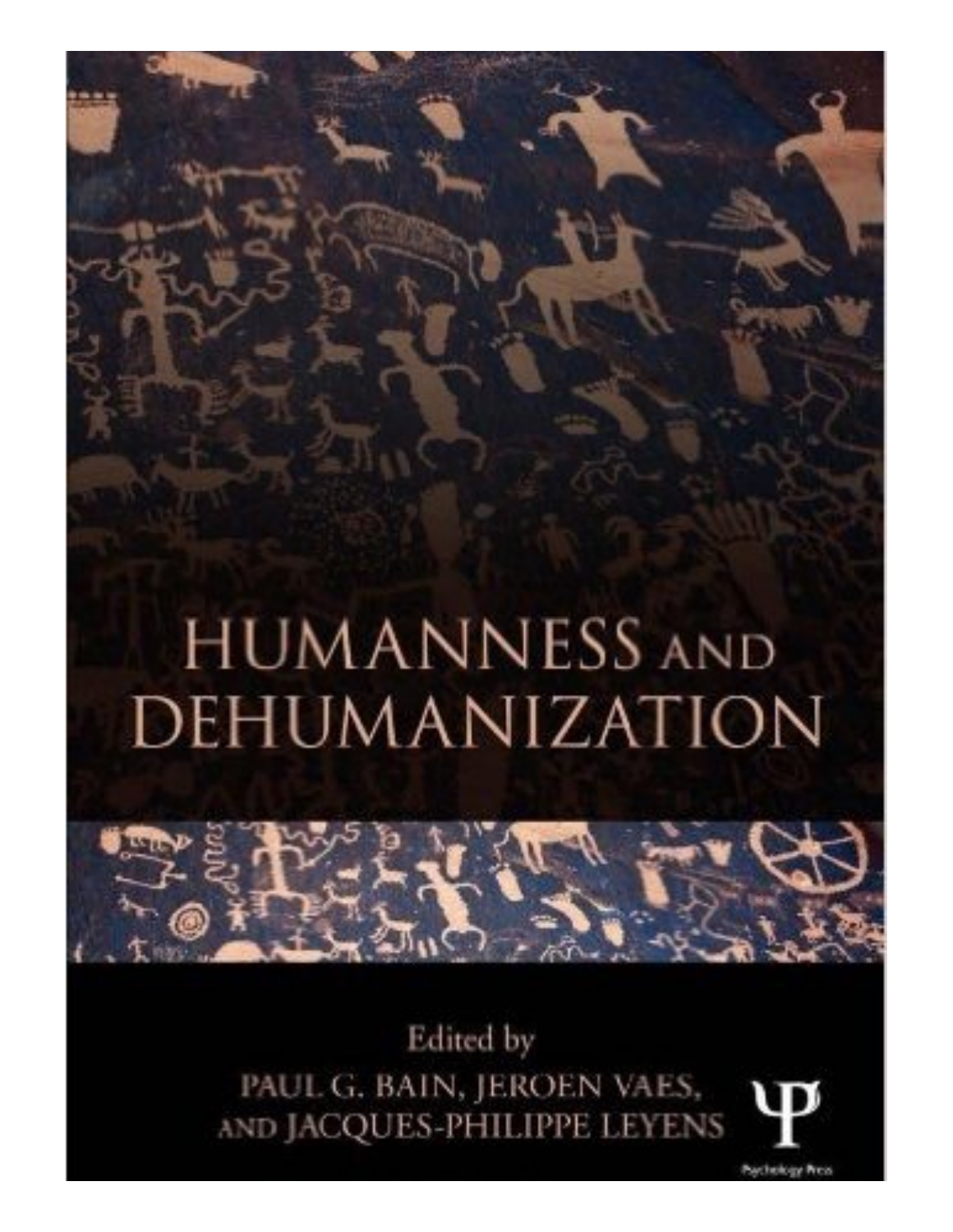# **HUMANNESS AND DEHUMANIZATION**

Edited by PAUL G. BAIN, JEROEN VAES, AND JACQUES-PHILIPPE LEYENS

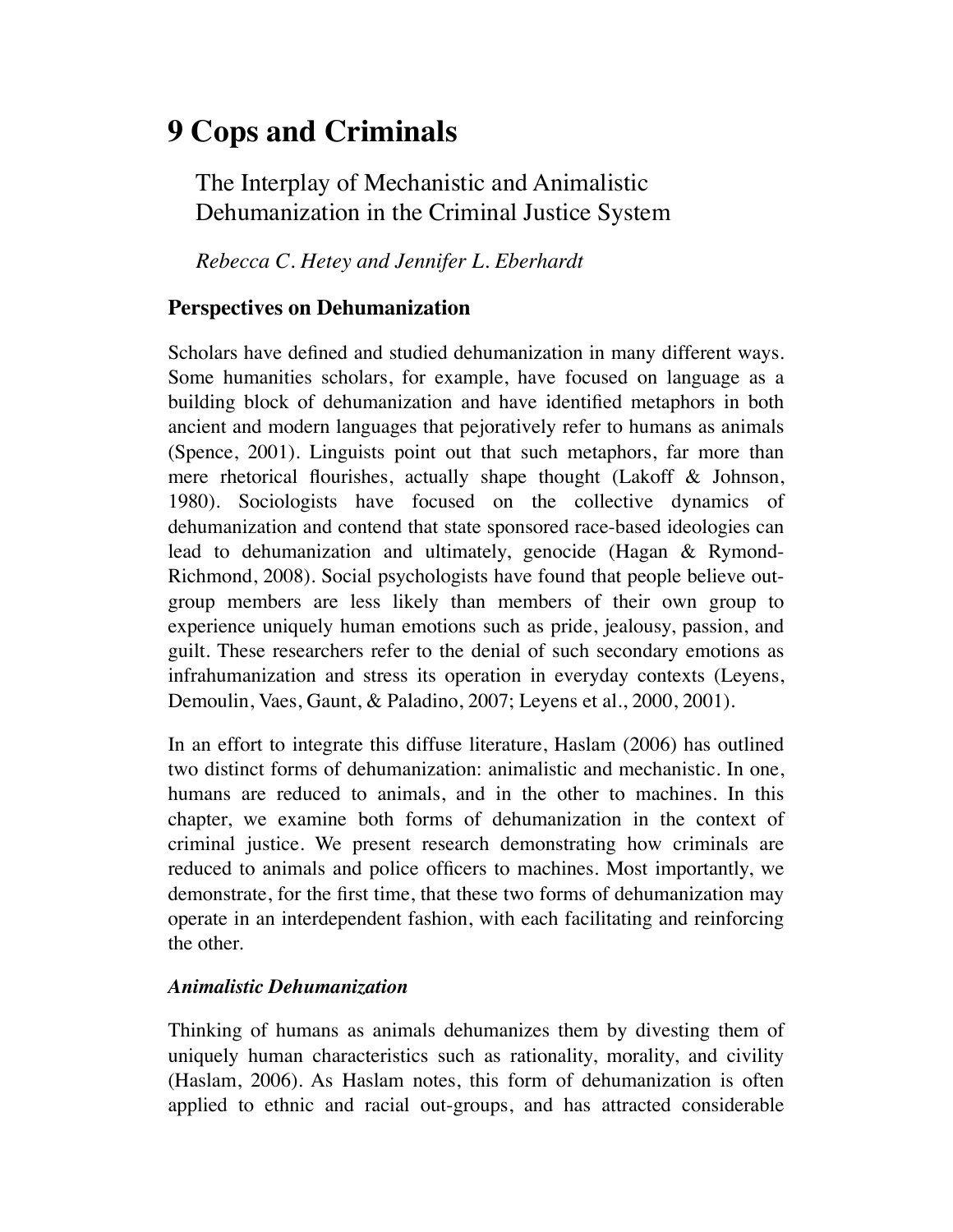# **9 Cops and Criminals**

The Interplay of Mechanistic and Animalistic Dehumanization in the Criminal Justice System

*Rebecca C. Hetey and Jennifer L. Eberhardt* 

# **Perspectives on Dehumanization**

Scholars have defined and studied dehumanization in many different ways. Some humanities scholars, for example, have focused on language as a building block of dehumanization and have identified metaphors in both ancient and modern languages that pejoratively refer to humans as animals (Spence, 2001). Linguists point out that such metaphors, far more than mere rhetorical flourishes, actually shape thought (Lakoff  $\&$  Johnson, 1980). Sociologists have focused on the collective dynamics of dehumanization and contend that state sponsored race-based ideologies can lead to dehumanization and ultimately, genocide (Hagan & Rymond-Richmond, 2008). Social psychologists have found that people believe outgroup members are less likely than members of their own group to experience uniquely human emotions such as pride, jealousy, passion, and guilt. These researchers refer to the denial of such secondary emotions as infrahumanization and stress its operation in everyday contexts (Leyens, Demoulin, Vaes, Gaunt, & Paladino, 2007; Leyens et al., 2000, 2001).

In an effort to integrate this diffuse literature, Haslam (2006) has outlined two distinct forms of dehumanization: animalistic and mechanistic. In one, humans are reduced to animals, and in the other to machines. In this chapter, we examine both forms of dehumanization in the context of criminal justice. We present research demonstrating how criminals are reduced to animals and police officers to machines. Most importantly, we demonstrate, for the first time, that these two forms of dehumanization may operate in an interdependent fashion, with each facilitating and reinforcing the other.

#### *Animalistic Dehumanization*

Thinking of humans as animals dehumanizes them by divesting them of uniquely human characteristics such as rationality, morality, and civility (Haslam, 2006). As Haslam notes, this form of dehumanization is often applied to ethnic and racial out-groups, and has attracted considerable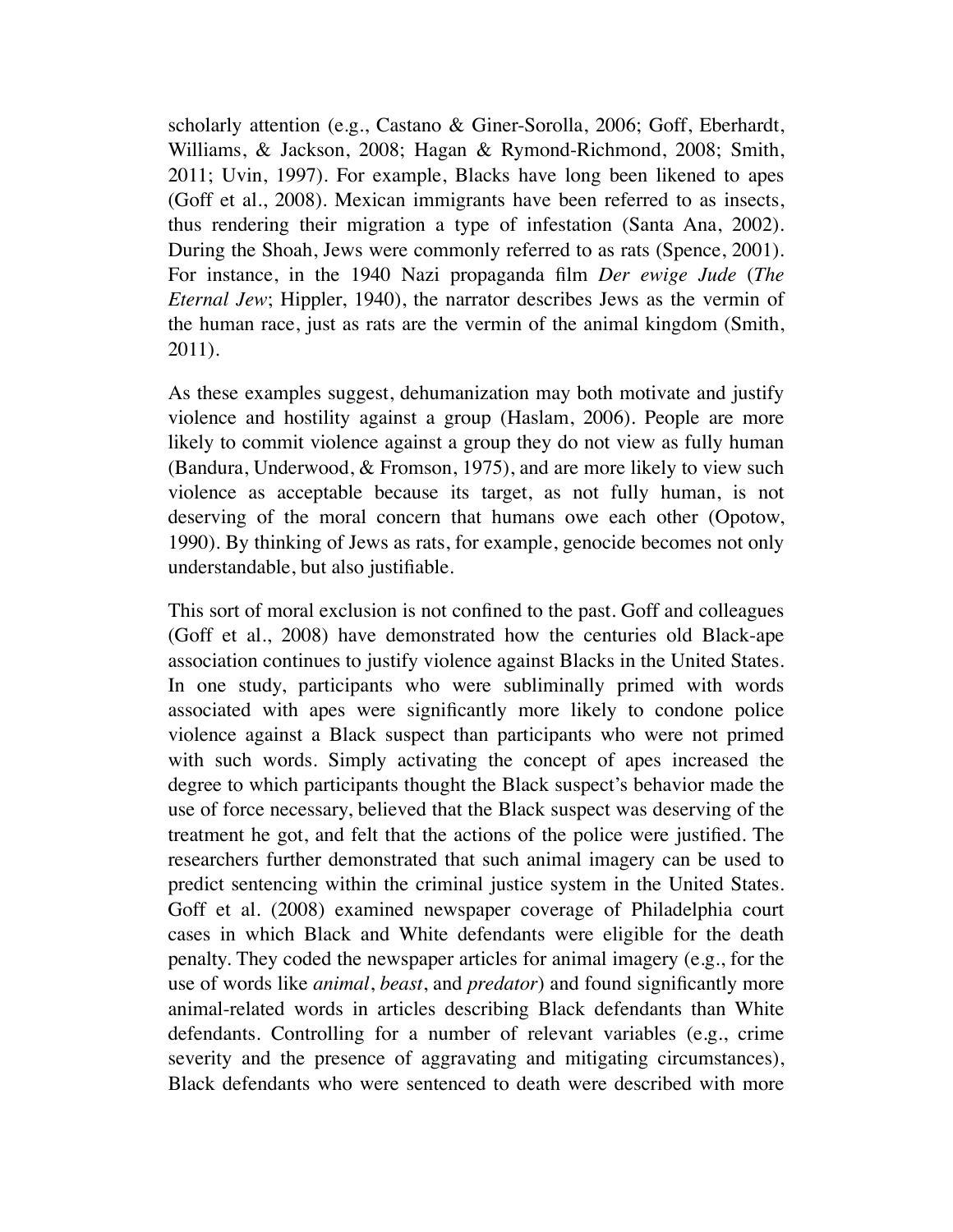scholarly attention (e.g., Castano & Giner-Sorolla, 2006; Goff, Eberhardt, Williams, & Jackson, 2008; Hagan & Rymond-Richmond, 2008; Smith, 2011; Uvin, 1997). For example, Blacks have long been likened to apes (Goff et al., 2008). Mexican immigrants have been referred to as insects, thus rendering their migration a type of infestation (Santa Ana, 2002). During the Shoah, Jews were commonly referred to as rats (Spence, 2001). For instance, in the 1940 Nazi propaganda film *Der ewige Jude* (*The Eternal Jew*; Hippler, 1940), the narrator describes Jews as the vermin of the human race, just as rats are the vermin of the animal kingdom (Smith, 2011).

As these examples suggest, dehumanization may both motivate and justify violence and hostility against a group (Haslam, 2006). People are more likely to commit violence against a group they do not view as fully human (Bandura, Underwood, & Fromson, 1975), and are more likely to view such violence as acceptable because its target, as not fully human, is not deserving of the moral concern that humans owe each other (Opotow, 1990). By thinking of Jews as rats, for example, genocide becomes not only understandable, but also justifiable.

This sort of moral exclusion is not confined to the past. Goff and colleagues (Goff et al., 2008) have demonstrated how the centuries old Black-ape association continues to justify violence against Blacks in the United States. In one study, participants who were subliminally primed with words associated with apes were significantly more likely to condone police violence against a Black suspect than participants who were not primed with such words. Simply activating the concept of apes increased the degree to which participants thought the Black suspect's behavior made the use of force necessary, believed that the Black suspect was deserving of the treatment he got, and felt that the actions of the police were justified. The researchers further demonstrated that such animal imagery can be used to predict sentencing within the criminal justice system in the United States. Goff et al. (2008) examined newspaper coverage of Philadelphia court cases in which Black and White defendants were eligible for the death penalty. They coded the newspaper articles for animal imagery (e.g., for the use of words like *animal*, *beast*, and *predator*) and found significantly more animal-related words in articles describing Black defendants than White defendants. Controlling for a number of relevant variables (e.g., crime severity and the presence of aggravating and mitigating circumstances), Black defendants who were sentenced to death were described with more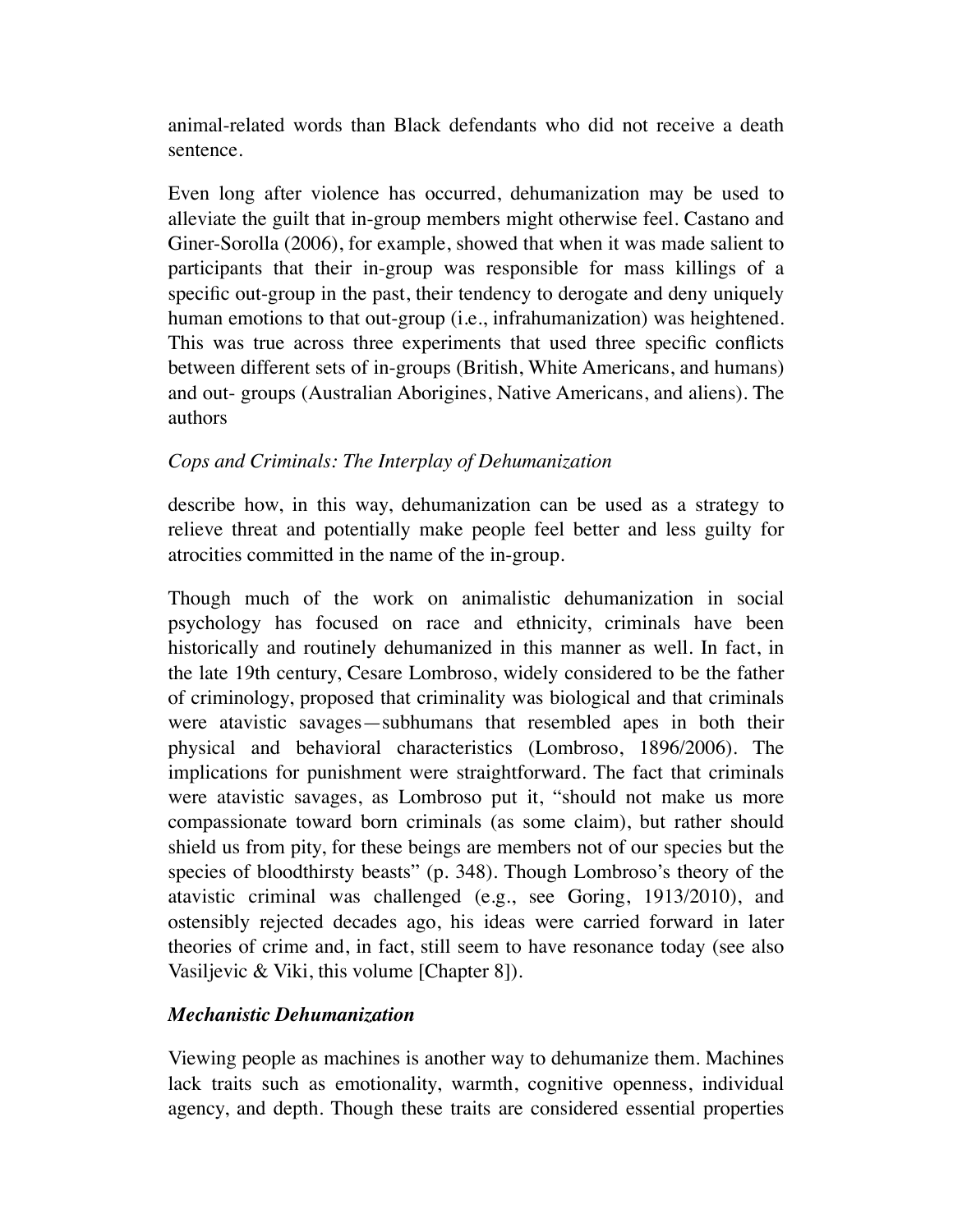animal-related words than Black defendants who did not receive a death sentence.

Even long after violence has occurred, dehumanization may be used to alleviate the guilt that in-group members might otherwise feel. Castano and Giner-Sorolla (2006), for example, showed that when it was made salient to participants that their in-group was responsible for mass killings of a specific out-group in the past, their tendency to derogate and deny uniquely human emotions to that out-group (i.e., infrahumanization) was heightened. This was true across three experiments that used three specific conflicts between different sets of in-groups (British, White Americans, and humans) and out- groups (Australian Aborigines, Native Americans, and aliens). The authors

## *Cops and Criminals: The Interplay of Dehumanization*

describe how, in this way, dehumanization can be used as a strategy to relieve threat and potentially make people feel better and less guilty for atrocities committed in the name of the in-group.

Though much of the work on animalistic dehumanization in social psychology has focused on race and ethnicity, criminals have been historically and routinely dehumanized in this manner as well. In fact, in the late 19th century, Cesare Lombroso, widely considered to be the father of criminology, proposed that criminality was biological and that criminals were atavistic savages—subhumans that resembled apes in both their physical and behavioral characteristics (Lombroso, 1896/2006). The implications for punishment were straightforward. The fact that criminals were atavistic savages, as Lombroso put it, "should not make us more compassionate toward born criminals (as some claim), but rather should shield us from pity, for these beings are members not of our species but the species of bloodthirsty beasts" (p. 348). Though Lombroso's theory of the atavistic criminal was challenged (e.g., see Goring, 1913/2010), and ostensibly rejected decades ago, his ideas were carried forward in later theories of crime and, in fact, still seem to have resonance today (see also Vasiljevic & Viki, this volume [Chapter 8]).

# *Mechanistic Dehumanization*

Viewing people as machines is another way to dehumanize them. Machines lack traits such as emotionality, warmth, cognitive openness, individual agency, and depth. Though these traits are considered essential properties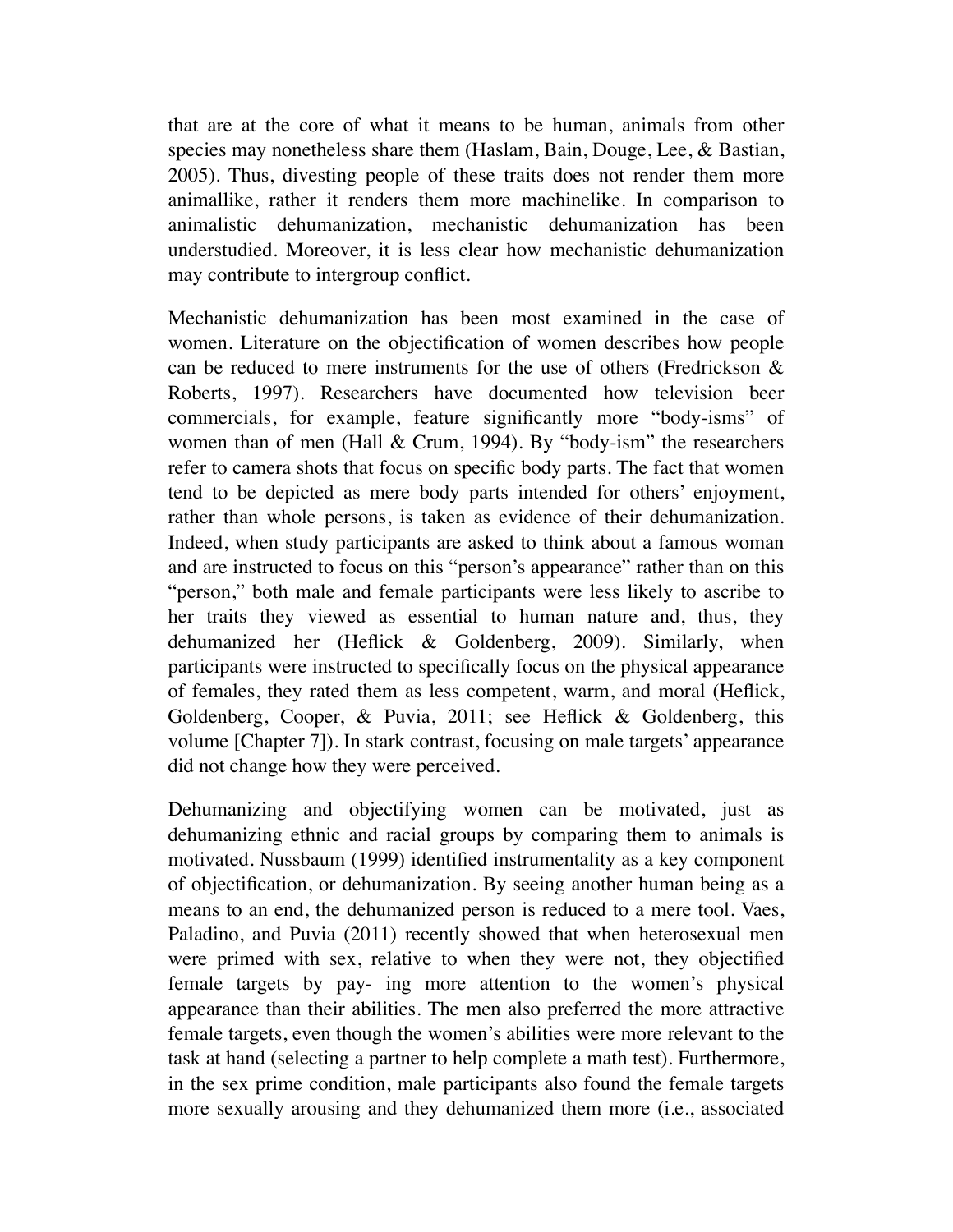that are at the core of what it means to be human, animals from other species may nonetheless share them (Haslam, Bain, Douge, Lee, & Bastian, 2005). Thus, divesting people of these traits does not render them more animallike, rather it renders them more machinelike. In comparison to animalistic dehumanization, mechanistic dehumanization has been understudied. Moreover, it is less clear how mechanistic dehumanization may contribute to intergroup conflict.

Mechanistic dehumanization has been most examined in the case of women. Literature on the objectification of women describes how people can be reduced to mere instruments for the use of others (Fredrickson & Roberts, 1997). Researchers have documented how television beer commercials, for example, feature significantly more "body-isms" of women than of men (Hall & Crum, 1994). By "body-ism" the researchers refer to camera shots that focus on specific body parts. The fact that women tend to be depicted as mere body parts intended for others' enjoyment, rather than whole persons, is taken as evidence of their dehumanization. Indeed, when study participants are asked to think about a famous woman and are instructed to focus on this "person's appearance" rather than on this "person," both male and female participants were less likely to ascribe to her traits they viewed as essential to human nature and, thus, they dehumanized her (Heflick & Goldenberg, 2009). Similarly, when participants were instructed to specifically focus on the physical appearance of females, they rated them as less competent, warm, and moral (Heflick, Goldenberg, Cooper, & Puvia, 2011; see Heflick & Goldenberg, this volume [Chapter 7]). In stark contrast, focusing on male targets' appearance did not change how they were perceived.

Dehumanizing and objectifying women can be motivated, just as dehumanizing ethnic and racial groups by comparing them to animals is motivated. Nussbaum (1999) identified instrumentality as a key component of objectification, or dehumanization. By seeing another human being as a means to an end, the dehumanized person is reduced to a mere tool. Vaes, Paladino, and Puvia (2011) recently showed that when heterosexual men were primed with sex, relative to when they were not, they objectified female targets by pay- ing more attention to the women's physical appearance than their abilities. The men also preferred the more attractive female targets, even though the women's abilities were more relevant to the task at hand (selecting a partner to help complete a math test). Furthermore, in the sex prime condition, male participants also found the female targets more sexually arousing and they dehumanized them more (i.e., associated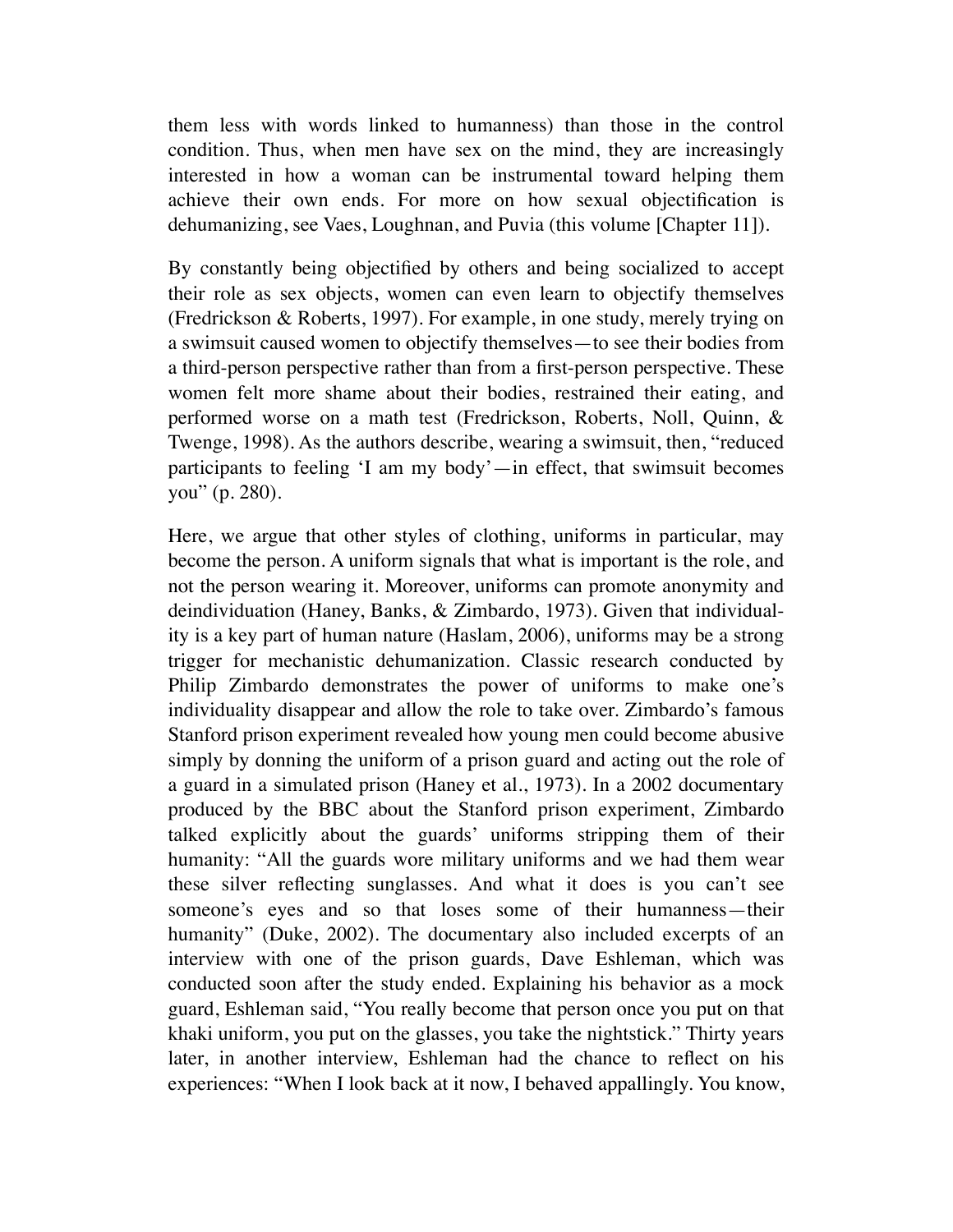them less with words linked to humanness) than those in the control condition. Thus, when men have sex on the mind, they are increasingly interested in how a woman can be instrumental toward helping them achieve their own ends. For more on how sexual objectification is dehumanizing, see Vaes, Loughnan, and Puvia (this volume [Chapter 11]).

By constantly being objectified by others and being socialized to accept their role as sex objects, women can even learn to objectify themselves (Fredrickson & Roberts, 1997). For example, in one study, merely trying on a swimsuit caused women to objectify themselves—to see their bodies from a third-person perspective rather than from a first-person perspective. These women felt more shame about their bodies, restrained their eating, and performed worse on a math test (Fredrickson, Roberts, Noll, Quinn, & Twenge, 1998). As the authors describe, wearing a swimsuit, then, "reduced participants to feeling 'I am my body'—in effect, that swimsuit becomes you" (p. 280).

Here, we argue that other styles of clothing, uniforms in particular, may become the person. A uniform signals that what is important is the role, and not the person wearing it. Moreover, uniforms can promote anonymity and deindividuation (Haney, Banks, & Zimbardo, 1973). Given that individuality is a key part of human nature (Haslam, 2006), uniforms may be a strong trigger for mechanistic dehumanization. Classic research conducted by Philip Zimbardo demonstrates the power of uniforms to make one's individuality disappear and allow the role to take over. Zimbardo's famous Stanford prison experiment revealed how young men could become abusive simply by donning the uniform of a prison guard and acting out the role of a guard in a simulated prison (Haney et al., 1973). In a 2002 documentary produced by the BBC about the Stanford prison experiment, Zimbardo talked explicitly about the guards' uniforms stripping them of their humanity: "All the guards wore military uniforms and we had them wear these silver reflecting sunglasses. And what it does is you can't see someone's eyes and so that loses some of their humanness—their humanity" (Duke, 2002). The documentary also included excerpts of an interview with one of the prison guards, Dave Eshleman, which was conducted soon after the study ended. Explaining his behavior as a mock guard, Eshleman said, "You really become that person once you put on that khaki uniform, you put on the glasses, you take the nightstick." Thirty years later, in another interview, Eshleman had the chance to reflect on his experiences: "When I look back at it now, I behaved appallingly. You know,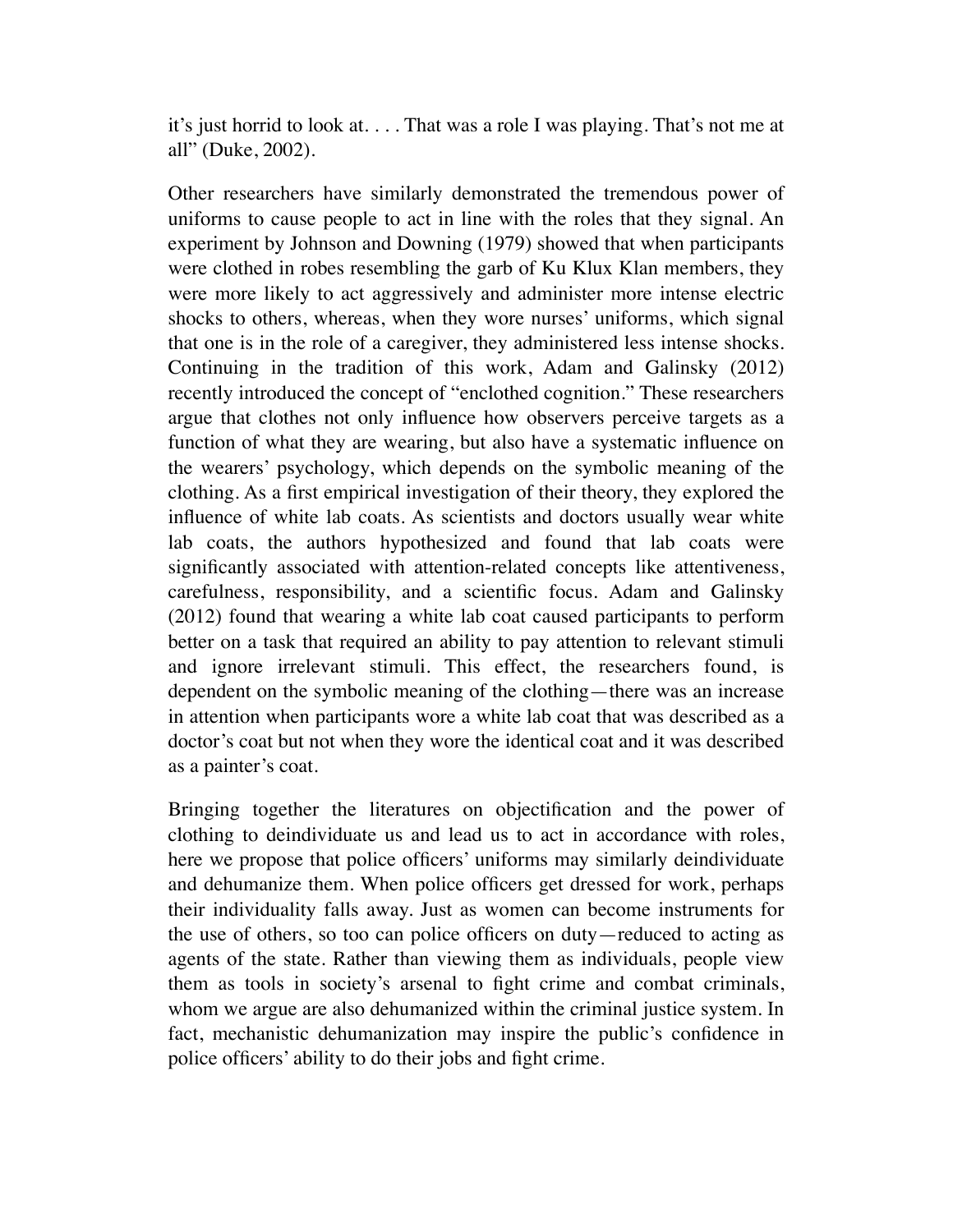it's just horrid to look at. . . . That was a role I was playing. That's not me at all" (Duke, 2002).

Other researchers have similarly demonstrated the tremendous power of uniforms to cause people to act in line with the roles that they signal. An experiment by Johnson and Downing (1979) showed that when participants were clothed in robes resembling the garb of Ku Klux Klan members, they were more likely to act aggressively and administer more intense electric shocks to others, whereas, when they wore nurses' uniforms, which signal that one is in the role of a caregiver, they administered less intense shocks. Continuing in the tradition of this work, Adam and Galinsky (2012) recently introduced the concept of "enclothed cognition." These researchers argue that clothes not only influence how observers perceive targets as a function of what they are wearing, but also have a systematic influence on the wearers' psychology, which depends on the symbolic meaning of the clothing. As a first empirical investigation of their theory, they explored the influence of white lab coats. As scientists and doctors usually wear white lab coats, the authors hypothesized and found that lab coats were significantly associated with attention-related concepts like attentiveness, carefulness, responsibility, and a scientific focus. Adam and Galinsky (2012) found that wearing a white lab coat caused participants to perform better on a task that required an ability to pay attention to relevant stimuli and ignore irrelevant stimuli. This effect, the researchers found, is dependent on the symbolic meaning of the clothing—there was an increase in attention when participants wore a white lab coat that was described as a doctor's coat but not when they wore the identical coat and it was described as a painter's coat.

Bringing together the literatures on objectification and the power of clothing to deindividuate us and lead us to act in accordance with roles, here we propose that police officers' uniforms may similarly deindividuate and dehumanize them. When police officers get dressed for work, perhaps their individuality falls away. Just as women can become instruments for the use of others, so too can police officers on duty—reduced to acting as agents of the state. Rather than viewing them as individuals, people view them as tools in society's arsenal to fight crime and combat criminals, whom we argue are also dehumanized within the criminal justice system. In fact, mechanistic dehumanization may inspire the public's confidence in police officers' ability to do their jobs and fight crime.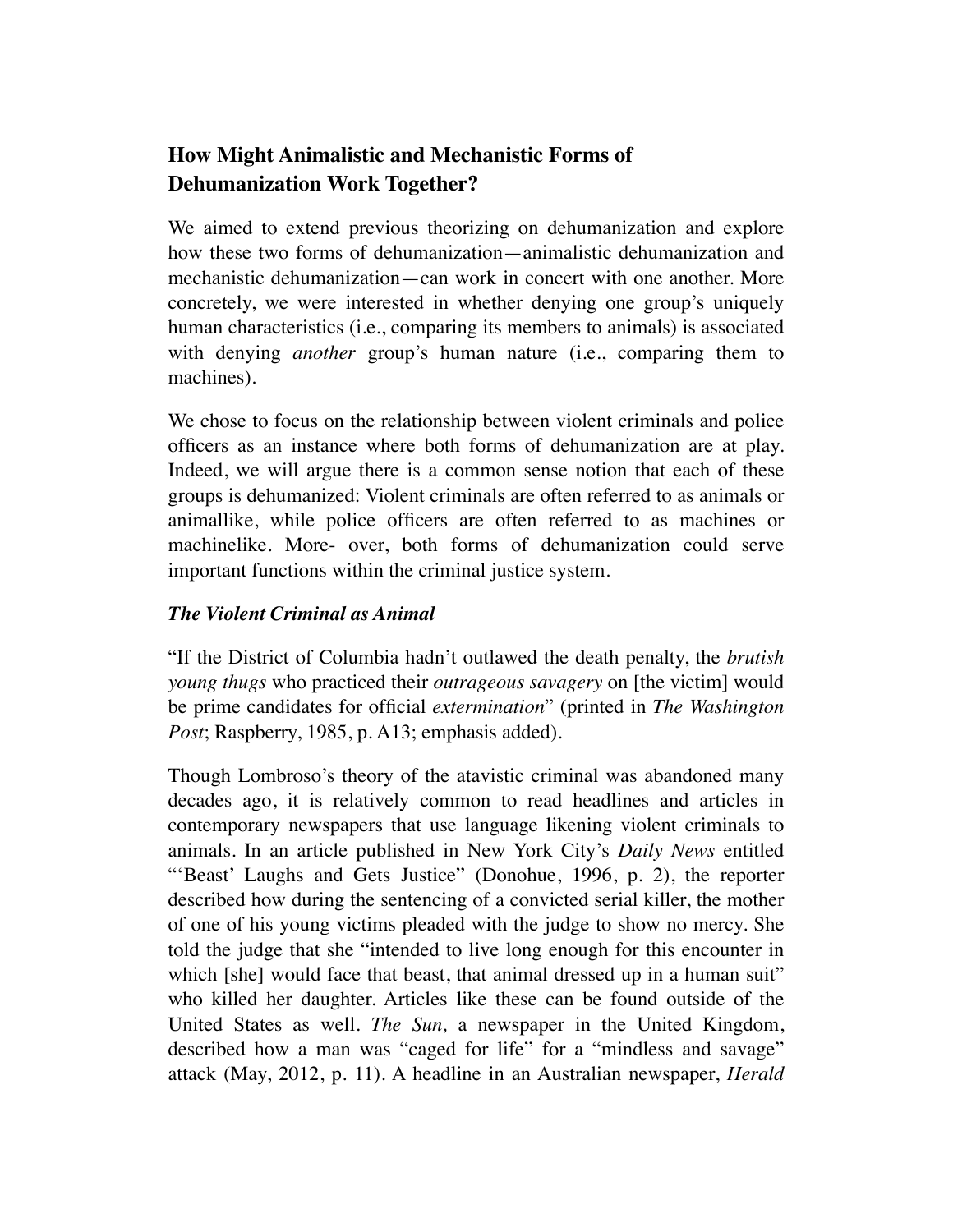# **How Might Animalistic and Mechanistic Forms of Dehumanization Work Together?**

We aimed to extend previous theorizing on dehumanization and explore how these two forms of dehumanization—animalistic dehumanization and mechanistic dehumanization—can work in concert with one another. More concretely, we were interested in whether denying one group's uniquely human characteristics (i.e., comparing its members to animals) is associated with denying *another* group's human nature (i.e., comparing them to machines).

We chose to focus on the relationship between violent criminals and police officers as an instance where both forms of dehumanization are at play. Indeed, we will argue there is a common sense notion that each of these groups is dehumanized: Violent criminals are often referred to as animals or animallike, while police officers are often referred to as machines or machinelike. More- over, both forms of dehumanization could serve important functions within the criminal justice system.

# *The Violent Criminal as Animal*

"If the District of Columbia hadn't outlawed the death penalty, the *brutish young thugs* who practiced their *outrageous savagery* on [the victim] would be prime candidates for official *extermination*" (printed in *The Washington Post*; Raspberry, 1985, p. A13; emphasis added).

Though Lombroso's theory of the atavistic criminal was abandoned many decades ago, it is relatively common to read headlines and articles in contemporary newspapers that use language likening violent criminals to animals. In an article published in New York City's *Daily News* entitled "'Beast' Laughs and Gets Justice" (Donohue, 1996, p. 2), the reporter described how during the sentencing of a convicted serial killer, the mother of one of his young victims pleaded with the judge to show no mercy. She told the judge that she "intended to live long enough for this encounter in which [she] would face that beast, that animal dressed up in a human suit" who killed her daughter. Articles like these can be found outside of the United States as well. *The Sun,* a newspaper in the United Kingdom, described how a man was "caged for life" for a "mindless and savage" attack (May, 2012, p. 11). A headline in an Australian newspaper, *Herald*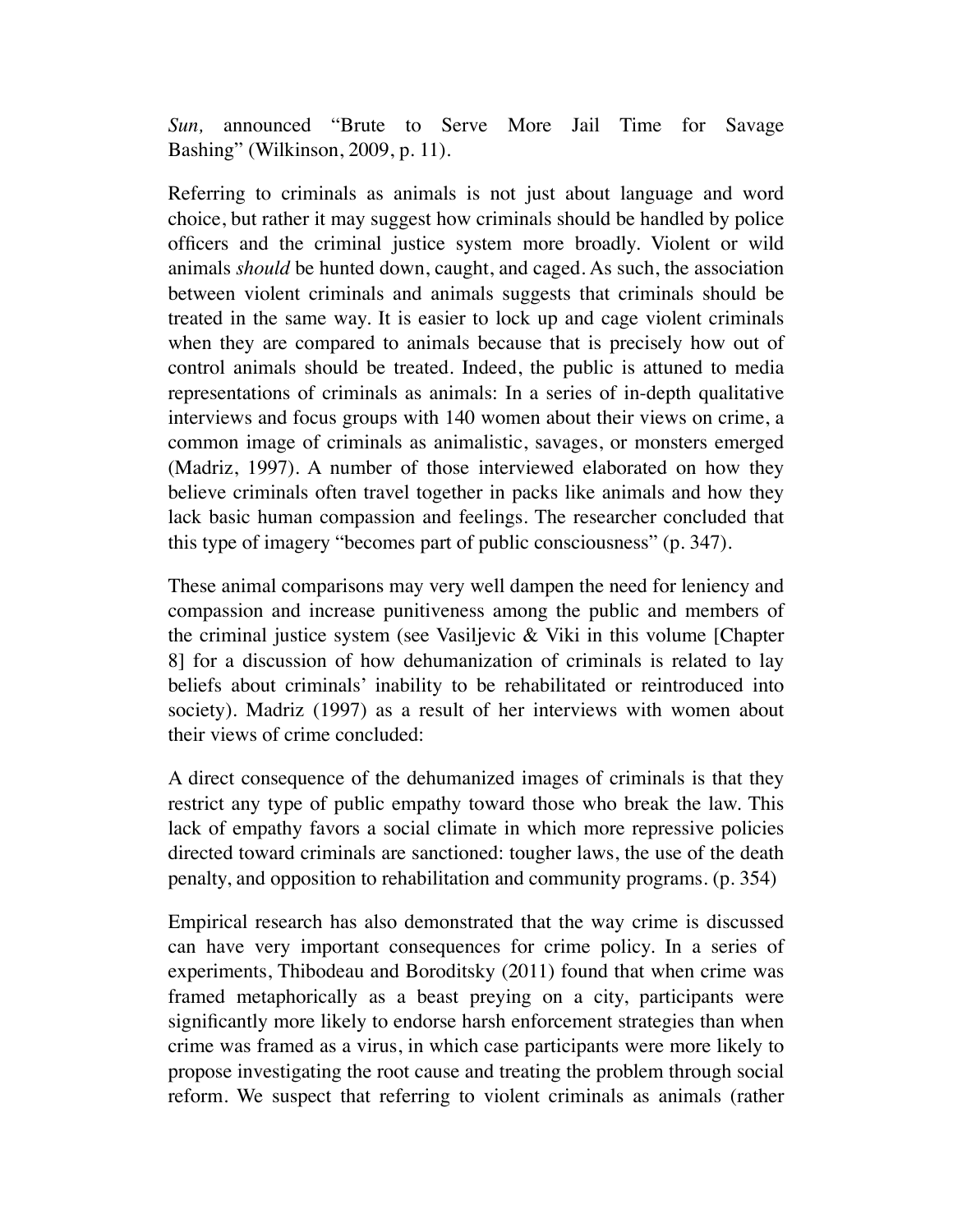*Sun,* announced "Brute to Serve More Jail Time for Savage Bashing" (Wilkinson, 2009, p. 11).

Referring to criminals as animals is not just about language and word choice, but rather it may suggest how criminals should be handled by police officers and the criminal justice system more broadly. Violent or wild animals *should* be hunted down, caught, and caged. As such, the association between violent criminals and animals suggests that criminals should be treated in the same way. It is easier to lock up and cage violent criminals when they are compared to animals because that is precisely how out of control animals should be treated. Indeed, the public is attuned to media representations of criminals as animals: In a series of in-depth qualitative interviews and focus groups with 140 women about their views on crime, a common image of criminals as animalistic, savages, or monsters emerged (Madriz, 1997). A number of those interviewed elaborated on how they believe criminals often travel together in packs like animals and how they lack basic human compassion and feelings. The researcher concluded that this type of imagery "becomes part of public consciousness" (p. 347).

These animal comparisons may very well dampen the need for leniency and compassion and increase punitiveness among the public and members of the criminal justice system (see Vasiljevic & Viki in this volume [Chapter 8] for a discussion of how dehumanization of criminals is related to lay beliefs about criminals' inability to be rehabilitated or reintroduced into society). Madriz (1997) as a result of her interviews with women about their views of crime concluded:

A direct consequence of the dehumanized images of criminals is that they restrict any type of public empathy toward those who break the law. This lack of empathy favors a social climate in which more repressive policies directed toward criminals are sanctioned: tougher laws, the use of the death penalty, and opposition to rehabilitation and community programs. (p. 354)

Empirical research has also demonstrated that the way crime is discussed can have very important consequences for crime policy. In a series of experiments, Thibodeau and Boroditsky (2011) found that when crime was framed metaphorically as a beast preying on a city, participants were significantly more likely to endorse harsh enforcement strategies than when crime was framed as a virus, in which case participants were more likely to propose investigating the root cause and treating the problem through social reform. We suspect that referring to violent criminals as animals (rather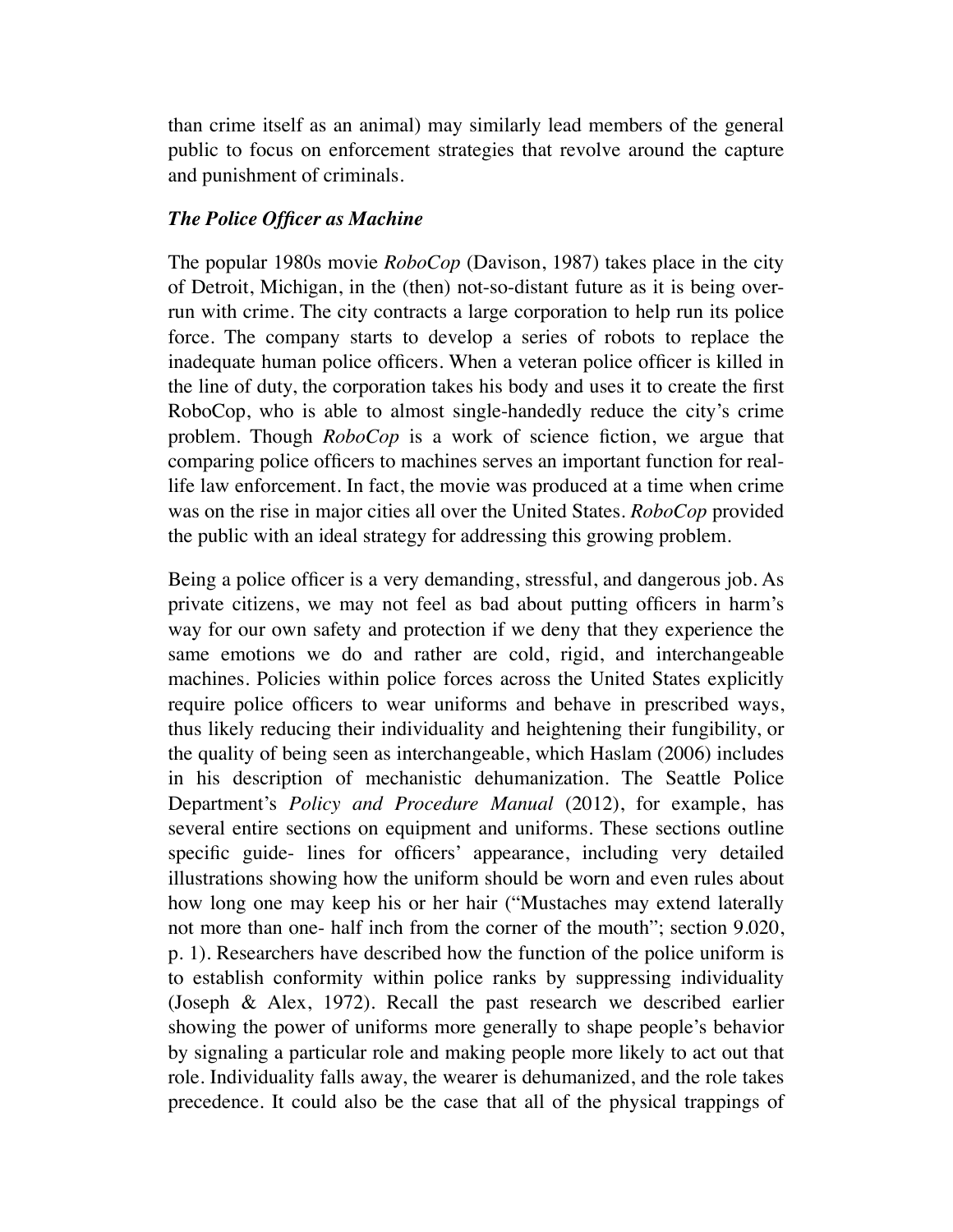than crime itself as an animal) may similarly lead members of the general public to focus on enforcement strategies that revolve around the capture and punishment of criminals.

#### *The Police Officer as Machine*

The popular 1980s movie *RoboCop* (Davison, 1987) takes place in the city of Detroit, Michigan, in the (then) not-so-distant future as it is being overrun with crime. The city contracts a large corporation to help run its police force. The company starts to develop a series of robots to replace the inadequate human police officers. When a veteran police officer is killed in the line of duty, the corporation takes his body and uses it to create the first RoboCop, who is able to almost single-handedly reduce the city's crime problem. Though *RoboCop* is a work of science fiction, we argue that comparing police officers to machines serves an important function for reallife law enforcement. In fact, the movie was produced at a time when crime was on the rise in major cities all over the United States. *RoboCop* provided the public with an ideal strategy for addressing this growing problem.

Being a police officer is a very demanding, stressful, and dangerous job. As private citizens, we may not feel as bad about putting officers in harm's way for our own safety and protection if we deny that they experience the same emotions we do and rather are cold, rigid, and interchangeable machines. Policies within police forces across the United States explicitly require police officers to wear uniforms and behave in prescribed ways, thus likely reducing their individuality and heightening their fungibility, or the quality of being seen as interchangeable, which Haslam (2006) includes in his description of mechanistic dehumanization. The Seattle Police Department's *Policy and Procedure Manual* (2012), for example, has several entire sections on equipment and uniforms. These sections outline specific guide- lines for officers' appearance, including very detailed illustrations showing how the uniform should be worn and even rules about how long one may keep his or her hair ("Mustaches may extend laterally not more than one- half inch from the corner of the mouth"; section 9.020, p. 1). Researchers have described how the function of the police uniform is to establish conformity within police ranks by suppressing individuality (Joseph & Alex, 1972). Recall the past research we described earlier showing the power of uniforms more generally to shape people's behavior by signaling a particular role and making people more likely to act out that role. Individuality falls away, the wearer is dehumanized, and the role takes precedence. It could also be the case that all of the physical trappings of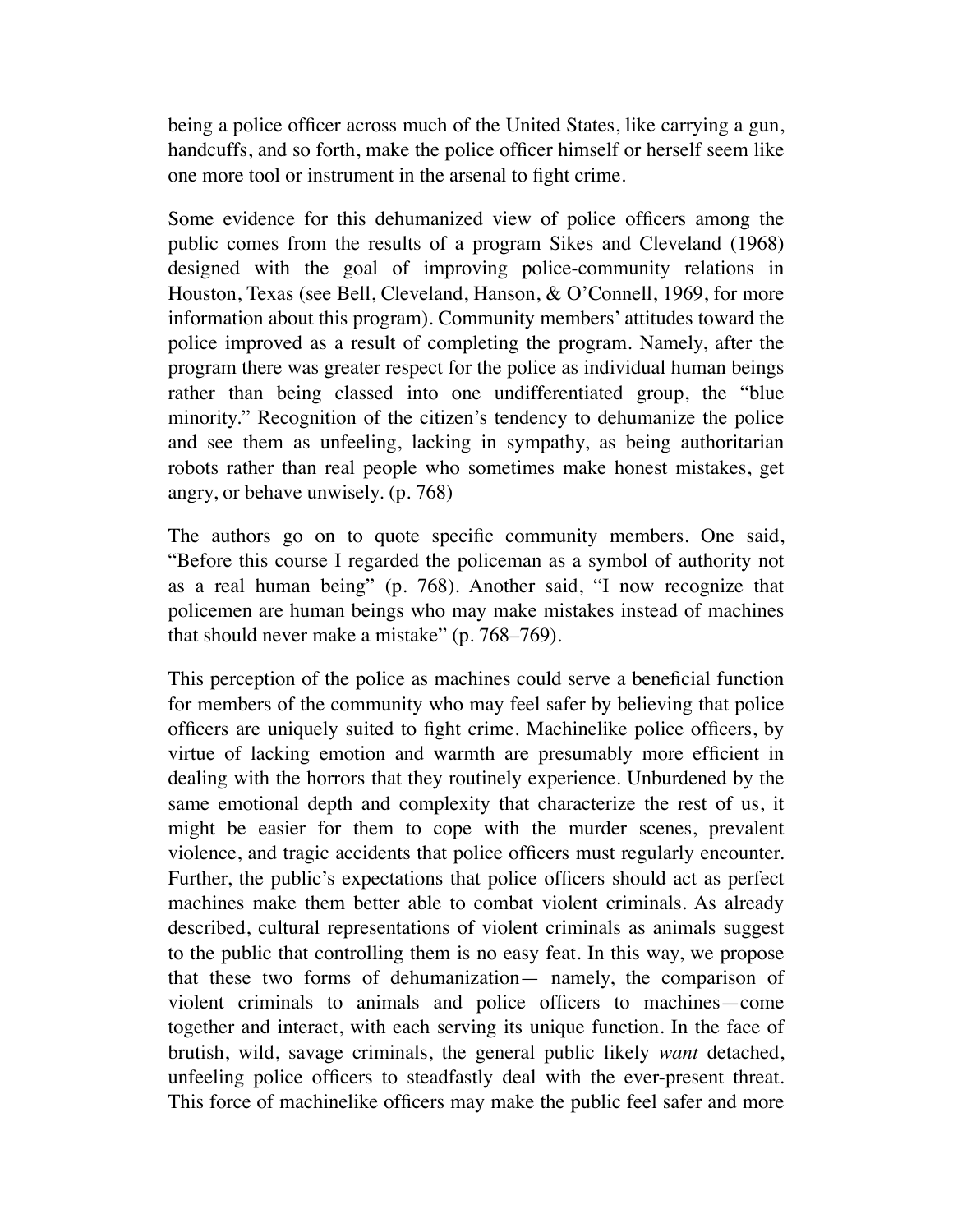being a police officer across much of the United States, like carrying a gun, handcuffs, and so forth, make the police officer himself or herself seem like one more tool or instrument in the arsenal to fight crime.

Some evidence for this dehumanized view of police officers among the public comes from the results of a program Sikes and Cleveland (1968) designed with the goal of improving police-community relations in Houston, Texas (see Bell, Cleveland, Hanson, & O'Connell, 1969, for more information about this program). Community members' attitudes toward the police improved as a result of completing the program. Namely, after the program there was greater respect for the police as individual human beings rather than being classed into one undifferentiated group, the "blue minority." Recognition of the citizen's tendency to dehumanize the police and see them as unfeeling, lacking in sympathy, as being authoritarian robots rather than real people who sometimes make honest mistakes, get angry, or behave unwisely. (p. 768)

The authors go on to quote specific community members. One said, "Before this course I regarded the policeman as a symbol of authority not as a real human being" (p. 768). Another said, "I now recognize that policemen are human beings who may make mistakes instead of machines that should never make a mistake" (p. 768–769).

This perception of the police as machines could serve a beneficial function for members of the community who may feel safer by believing that police officers are uniquely suited to fight crime. Machinelike police officers, by virtue of lacking emotion and warmth are presumably more efficient in dealing with the horrors that they routinely experience. Unburdened by the same emotional depth and complexity that characterize the rest of us, it might be easier for them to cope with the murder scenes, prevalent violence, and tragic accidents that police officers must regularly encounter. Further, the public's expectations that police officers should act as perfect machines make them better able to combat violent criminals. As already described, cultural representations of violent criminals as animals suggest to the public that controlling them is no easy feat. In this way, we propose that these two forms of dehumanization— namely, the comparison of violent criminals to animals and police officers to machines—come together and interact, with each serving its unique function. In the face of brutish, wild, savage criminals, the general public likely *want* detached, unfeeling police officers to steadfastly deal with the ever-present threat. This force of machinelike officers may make the public feel safer and more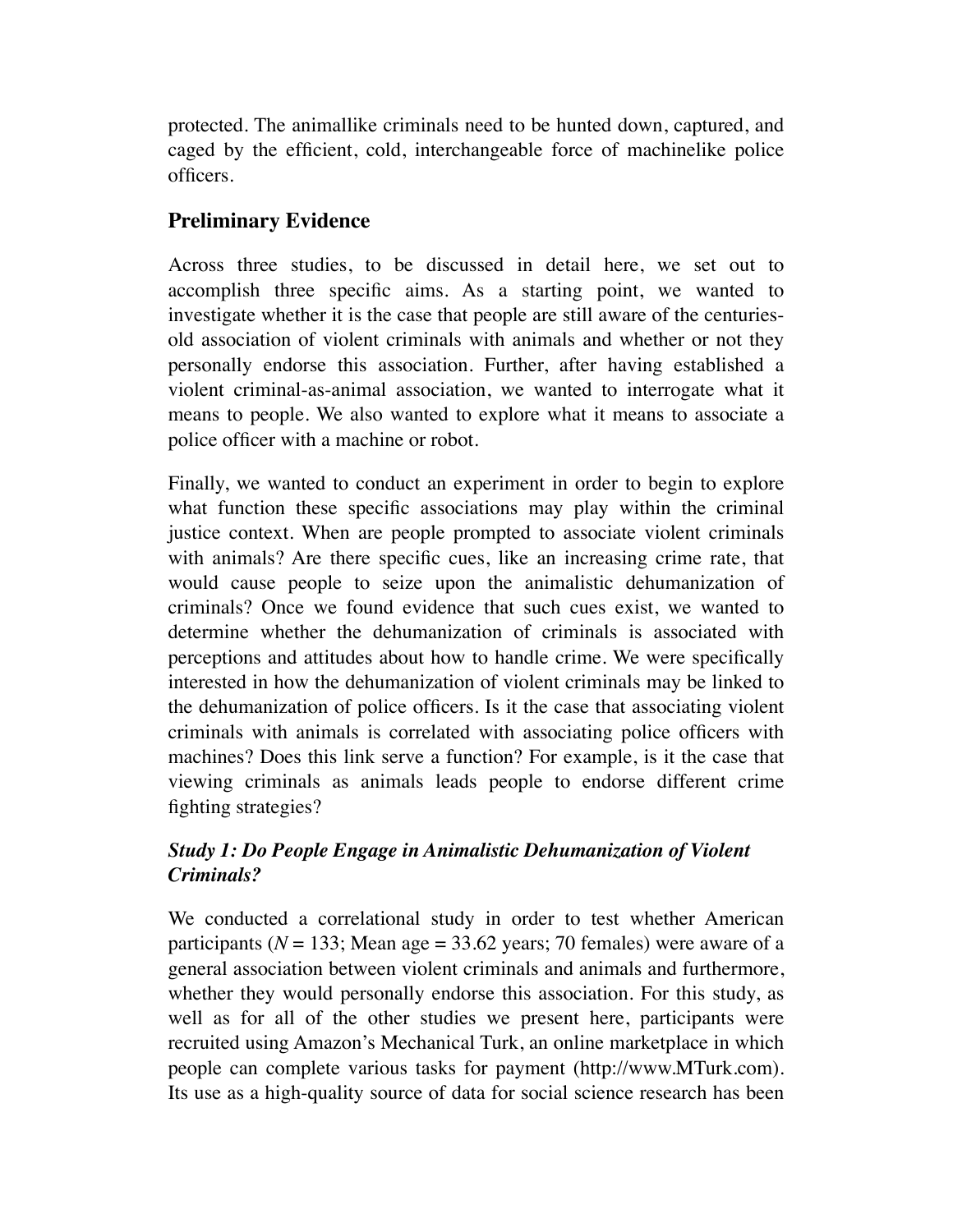protected. The animallike criminals need to be hunted down, captured, and caged by the efficient, cold, interchangeable force of machinelike police officers.

# **Preliminary Evidence**

Across three studies, to be discussed in detail here, we set out to accomplish three specific aims. As a starting point, we wanted to investigate whether it is the case that people are still aware of the centuriesold association of violent criminals with animals and whether or not they personally endorse this association. Further, after having established a violent criminal-as-animal association, we wanted to interrogate what it means to people. We also wanted to explore what it means to associate a police officer with a machine or robot.

Finally, we wanted to conduct an experiment in order to begin to explore what function these specific associations may play within the criminal justice context. When are people prompted to associate violent criminals with animals? Are there specific cues, like an increasing crime rate, that would cause people to seize upon the animalistic dehumanization of criminals? Once we found evidence that such cues exist, we wanted to determine whether the dehumanization of criminals is associated with perceptions and attitudes about how to handle crime. We were specifically interested in how the dehumanization of violent criminals may be linked to the dehumanization of police officers. Is it the case that associating violent criminals with animals is correlated with associating police officers with machines? Does this link serve a function? For example, is it the case that viewing criminals as animals leads people to endorse different crime fighting strategies?

# *Study 1: Do People Engage in Animalistic Dehumanization of Violent Criminals?*

We conducted a correlational study in order to test whether American participants ( $N = 133$ ; Mean age = 33.62 years; 70 females) were aware of a general association between violent criminals and animals and furthermore, whether they would personally endorse this association. For this study, as well as for all of the other studies we present here, participants were recruited using Amazon's Mechanical Turk, an online marketplace in which people can complete various tasks for payment (http://www.MTurk.com). Its use as a high-quality source of data for social science research has been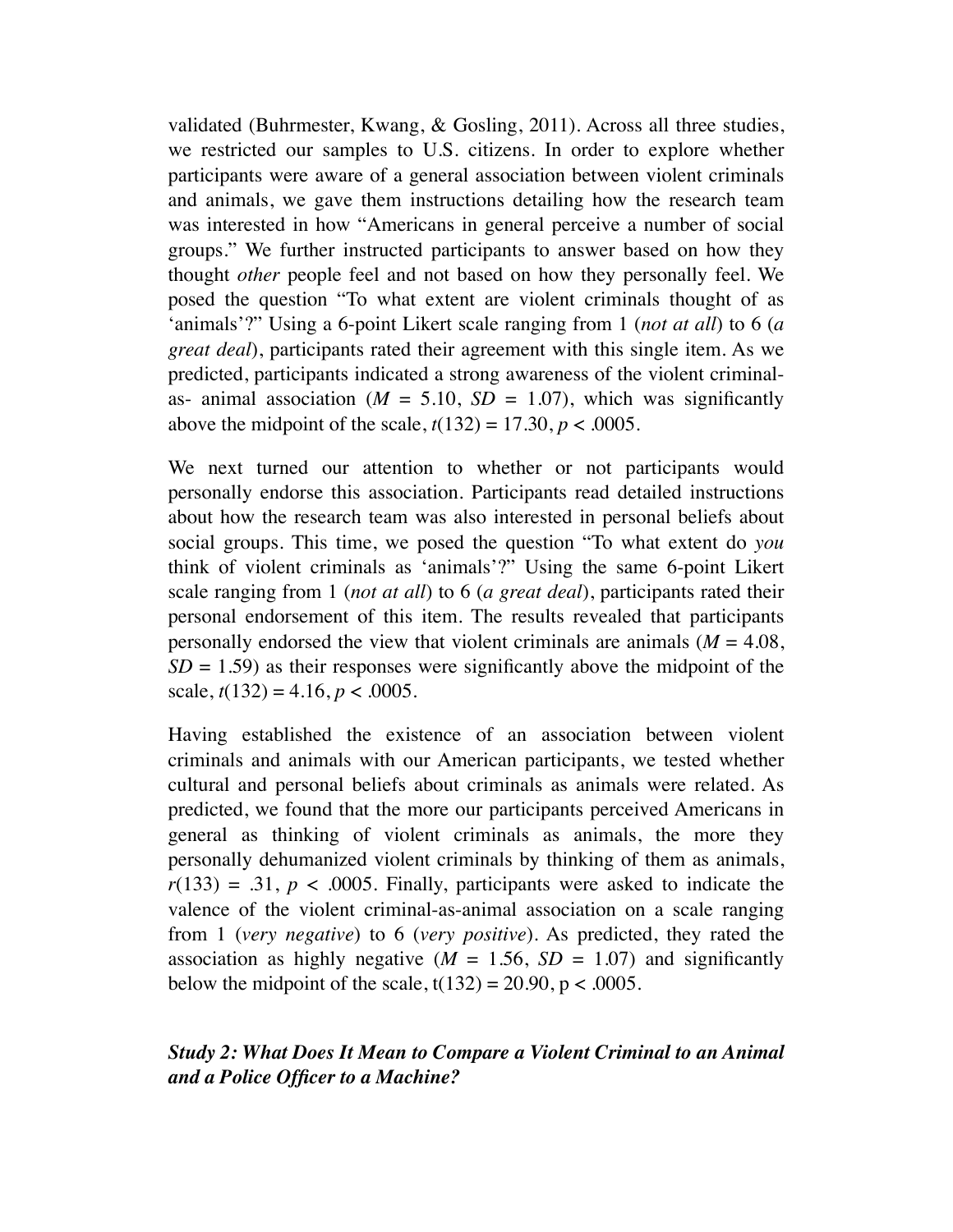validated (Buhrmester, Kwang, & Gosling, 2011). Across all three studies, we restricted our samples to U.S. citizens. In order to explore whether participants were aware of a general association between violent criminals and animals, we gave them instructions detailing how the research team was interested in how "Americans in general perceive a number of social groups." We further instructed participants to answer based on how they thought *other* people feel and not based on how they personally feel. We posed the question "To what extent are violent criminals thought of as 'animals'?" Using a 6-point Likert scale ranging from 1 (*not at all*) to 6 (*a great deal*), participants rated their agreement with this single item. As we predicted, participants indicated a strong awareness of the violent criminalas- animal association ( $M = 5.10$ ,  $SD = 1.07$ ), which was significantly above the midpoint of the scale,  $t(132) = 17.30, p < .0005$ .

We next turned our attention to whether or not participants would personally endorse this association. Participants read detailed instructions about how the research team was also interested in personal beliefs about social groups. This time, we posed the question "To what extent do *you*  think of violent criminals as 'animals'?" Using the same 6-point Likert scale ranging from 1 (*not at all*) to 6 (*a great deal*), participants rated their personal endorsement of this item. The results revealed that participants personally endorsed the view that violent criminals are animals  $(M = 4.08)$ ,  $SD = 1.59$ ) as their responses were significantly above the midpoint of the scale,  $t(132) = 4.16$ ,  $p < .0005$ .

Having established the existence of an association between violent criminals and animals with our American participants, we tested whether cultural and personal beliefs about criminals as animals were related. As predicted, we found that the more our participants perceived Americans in general as thinking of violent criminals as animals, the more they personally dehumanized violent criminals by thinking of them as animals,  $r(133) = .31$ ,  $p < .0005$ . Finally, participants were asked to indicate the valence of the violent criminal-as-animal association on a scale ranging from 1 (*very negative*) to 6 (*very positive*). As predicted, they rated the association as highly negative ( $M = 1.56$ ,  $SD = 1.07$ ) and significantly below the midpoint of the scale,  $t(132) = 20.90$ ,  $p < .0005$ .

#### *Study 2: What Does It Mean to Compare a Violent Criminal to an Animal and a Police Officer to a Machine?*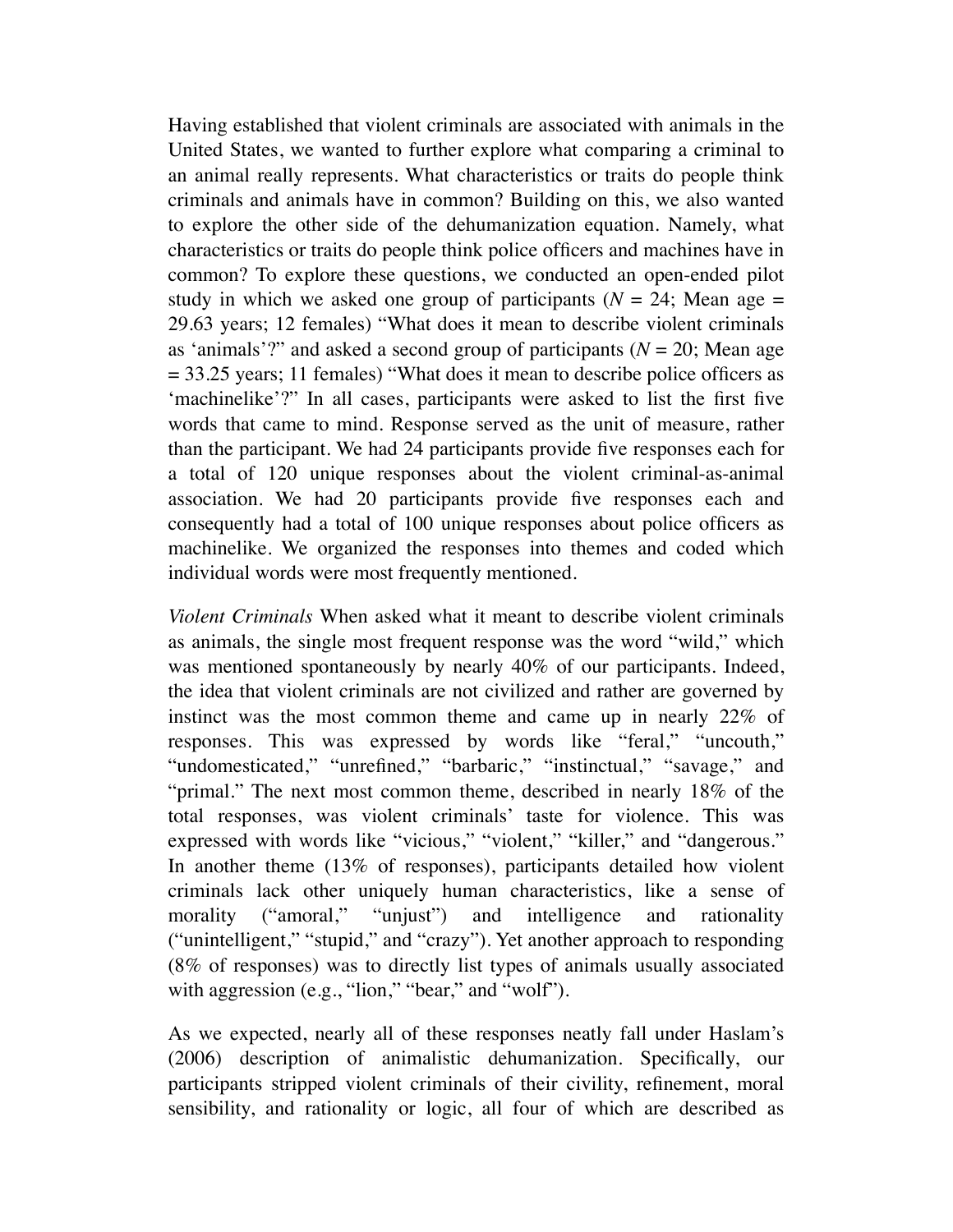Having established that violent criminals are associated with animals in the United States, we wanted to further explore what comparing a criminal to an animal really represents. What characteristics or traits do people think criminals and animals have in common? Building on this, we also wanted to explore the other side of the dehumanization equation. Namely, what characteristics or traits do people think police officers and machines have in common? To explore these questions, we conducted an open-ended pilot study in which we asked one group of participants ( $N = 24$ ; Mean age = 29.63 years; 12 females) "What does it mean to describe violent criminals as 'animals'?" and asked a second group of participants (*N* = 20; Mean age = 33.25 years; 11 females) "What does it mean to describe police officers as 'machinelike'?" In all cases, participants were asked to list the first five words that came to mind. Response served as the unit of measure, rather than the participant. We had 24 participants provide five responses each for a total of 120 unique responses about the violent criminal-as-animal association. We had 20 participants provide five responses each and consequently had a total of 100 unique responses about police officers as machinelike. We organized the responses into themes and coded which individual words were most frequently mentioned.

*Violent Criminals* When asked what it meant to describe violent criminals as animals, the single most frequent response was the word "wild," which was mentioned spontaneously by nearly 40% of our participants. Indeed, the idea that violent criminals are not civilized and rather are governed by instinct was the most common theme and came up in nearly 22% of responses. This was expressed by words like "feral," "uncouth," "undomesticated," "unrefined," "barbaric," "instinctual," "savage," and "primal." The next most common theme, described in nearly 18% of the total responses, was violent criminals' taste for violence. This was expressed with words like "vicious," "violent," "killer," and "dangerous." In another theme (13% of responses), participants detailed how violent criminals lack other uniquely human characteristics, like a sense of morality ("amoral," "unjust") and intelligence and rationality ("unintelligent," "stupid," and "crazy"). Yet another approach to responding (8% of responses) was to directly list types of animals usually associated with aggression (e.g., "lion," "bear," and "wolf").

As we expected, nearly all of these responses neatly fall under Haslam's (2006) description of animalistic dehumanization. Specifically, our participants stripped violent criminals of their civility, refinement, moral sensibility, and rationality or logic, all four of which are described as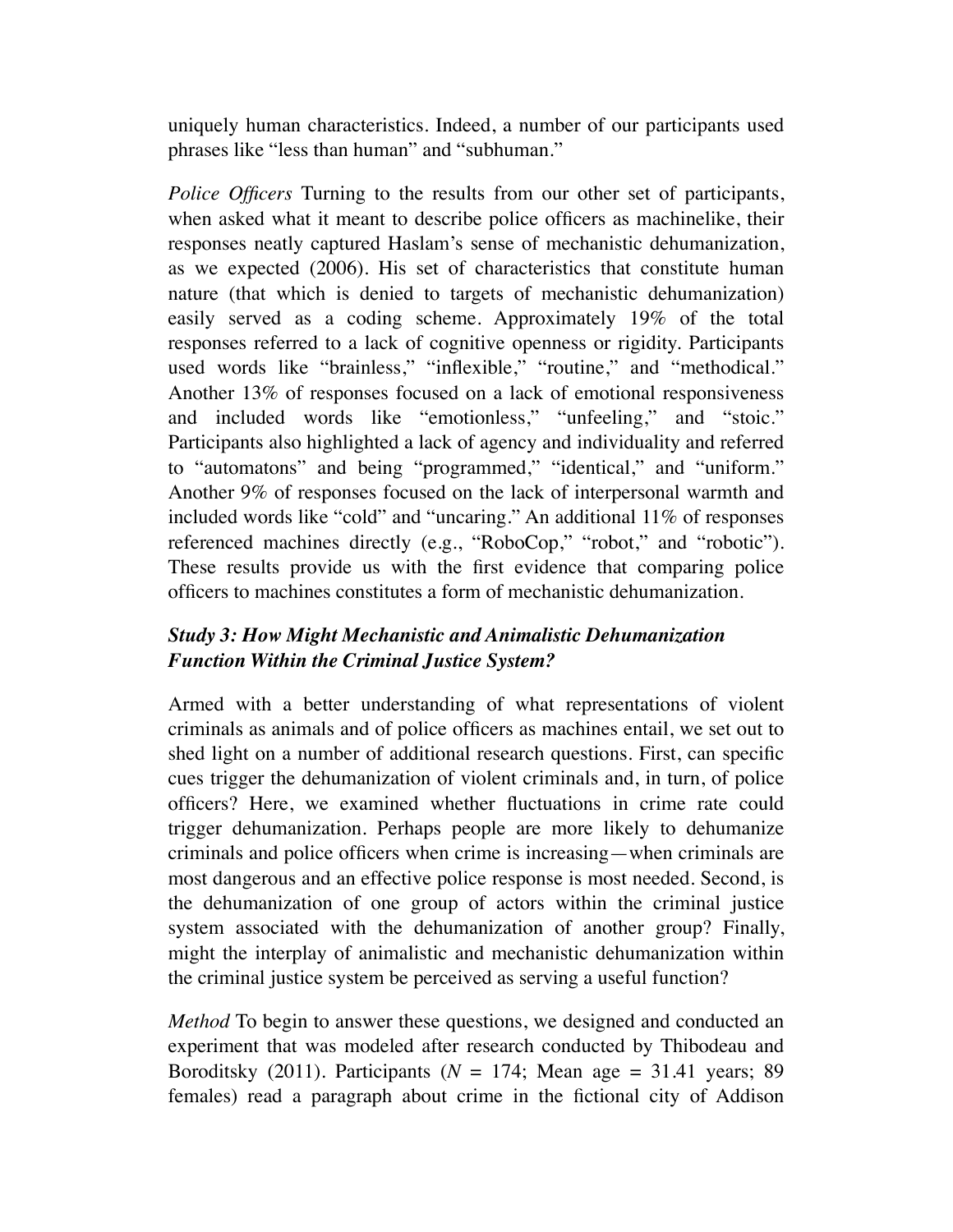uniquely human characteristics. Indeed, a number of our participants used phrases like "less than human" and "subhuman."

*Police Officers* Turning to the results from our other set of participants, when asked what it meant to describe police officers as machinelike, their responses neatly captured Haslam's sense of mechanistic dehumanization, as we expected (2006). His set of characteristics that constitute human nature (that which is denied to targets of mechanistic dehumanization) easily served as a coding scheme. Approximately 19% of the total responses referred to a lack of cognitive openness or rigidity. Participants used words like "brainless," "inflexible," "routine," and "methodical." Another 13% of responses focused on a lack of emotional responsiveness and included words like "emotionless," "unfeeling," and "stoic." Participants also highlighted a lack of agency and individuality and referred to "automatons" and being "programmed," "identical," and "uniform." Another 9% of responses focused on the lack of interpersonal warmth and included words like "cold" and "uncaring." An additional 11% of responses referenced machines directly (e.g., "RoboCop," "robot," and "robotic"). These results provide us with the first evidence that comparing police officers to machines constitutes a form of mechanistic dehumanization.

# *Study 3: How Might Mechanistic and Animalistic Dehumanization Function Within the Criminal Justice System?*

Armed with a better understanding of what representations of violent criminals as animals and of police officers as machines entail, we set out to shed light on a number of additional research questions. First, can specific cues trigger the dehumanization of violent criminals and, in turn, of police officers? Here, we examined whether fluctuations in crime rate could trigger dehumanization. Perhaps people are more likely to dehumanize criminals and police officers when crime is increasing—when criminals are most dangerous and an effective police response is most needed. Second, is the dehumanization of one group of actors within the criminal justice system associated with the dehumanization of another group? Finally, might the interplay of animalistic and mechanistic dehumanization within the criminal justice system be perceived as serving a useful function?

*Method* To begin to answer these questions, we designed and conducted an experiment that was modeled after research conducted by Thibodeau and Boroditsky (2011). Participants ( $N = 174$ ; Mean age = 31.41 years; 89 females) read a paragraph about crime in the fictional city of Addison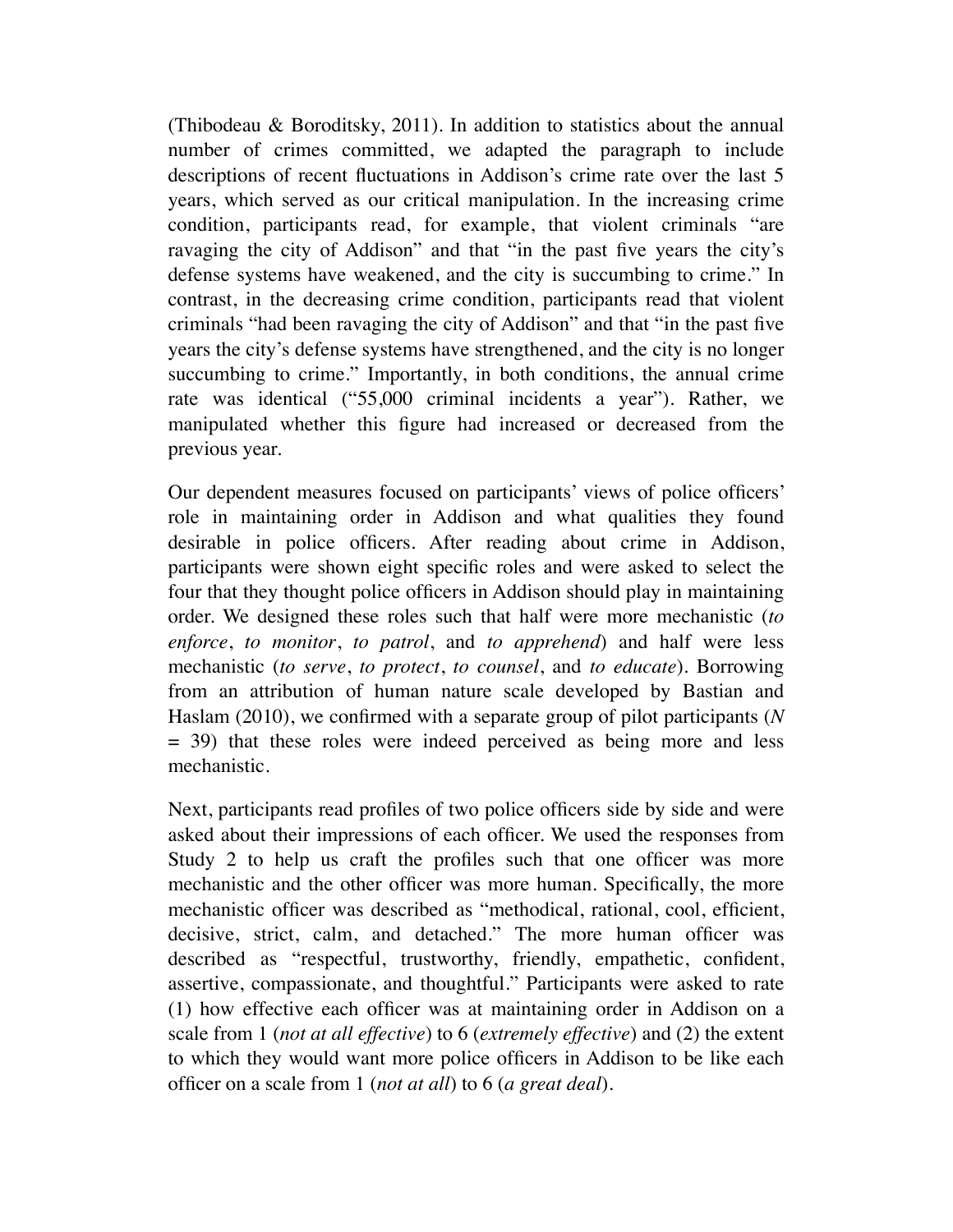(Thibodeau & Boroditsky, 2011). In addition to statistics about the annual number of crimes committed, we adapted the paragraph to include descriptions of recent fluctuations in Addison's crime rate over the last 5 years, which served as our critical manipulation. In the increasing crime condition, participants read, for example, that violent criminals "are ravaging the city of Addison" and that "in the past five years the city's defense systems have weakened, and the city is succumbing to crime." In contrast, in the decreasing crime condition, participants read that violent criminals "had been ravaging the city of Addison" and that "in the past five years the city's defense systems have strengthened, and the city is no longer succumbing to crime." Importantly, in both conditions, the annual crime rate was identical ("55,000 criminal incidents a year"). Rather, we manipulated whether this figure had increased or decreased from the previous year.

Our dependent measures focused on participants' views of police officers' role in maintaining order in Addison and what qualities they found desirable in police officers. After reading about crime in Addison, participants were shown eight specific roles and were asked to select the four that they thought police officers in Addison should play in maintaining order. We designed these roles such that half were more mechanistic (*to enforce*, *to monitor*, *to patrol*, and *to apprehend*) and half were less mechanistic (*to serve*, *to protect*, *to counsel*, and *to educate*). Borrowing from an attribution of human nature scale developed by Bastian and Haslam (2010), we confirmed with a separate group of pilot participants (*N*  = 39) that these roles were indeed perceived as being more and less mechanistic.

Next, participants read profiles of two police officers side by side and were asked about their impressions of each officer. We used the responses from Study 2 to help us craft the profiles such that one officer was more mechanistic and the other officer was more human. Specifically, the more mechanistic officer was described as "methodical, rational, cool, efficient, decisive, strict, calm, and detached." The more human officer was described as "respectful, trustworthy, friendly, empathetic, confident, assertive, compassionate, and thoughtful." Participants were asked to rate (1) how effective each officer was at maintaining order in Addison on a scale from 1 (*not at all effective*) to 6 (*extremely effective*) and (2) the extent to which they would want more police officers in Addison to be like each officer on a scale from 1 (*not at all*) to 6 (*a great deal*).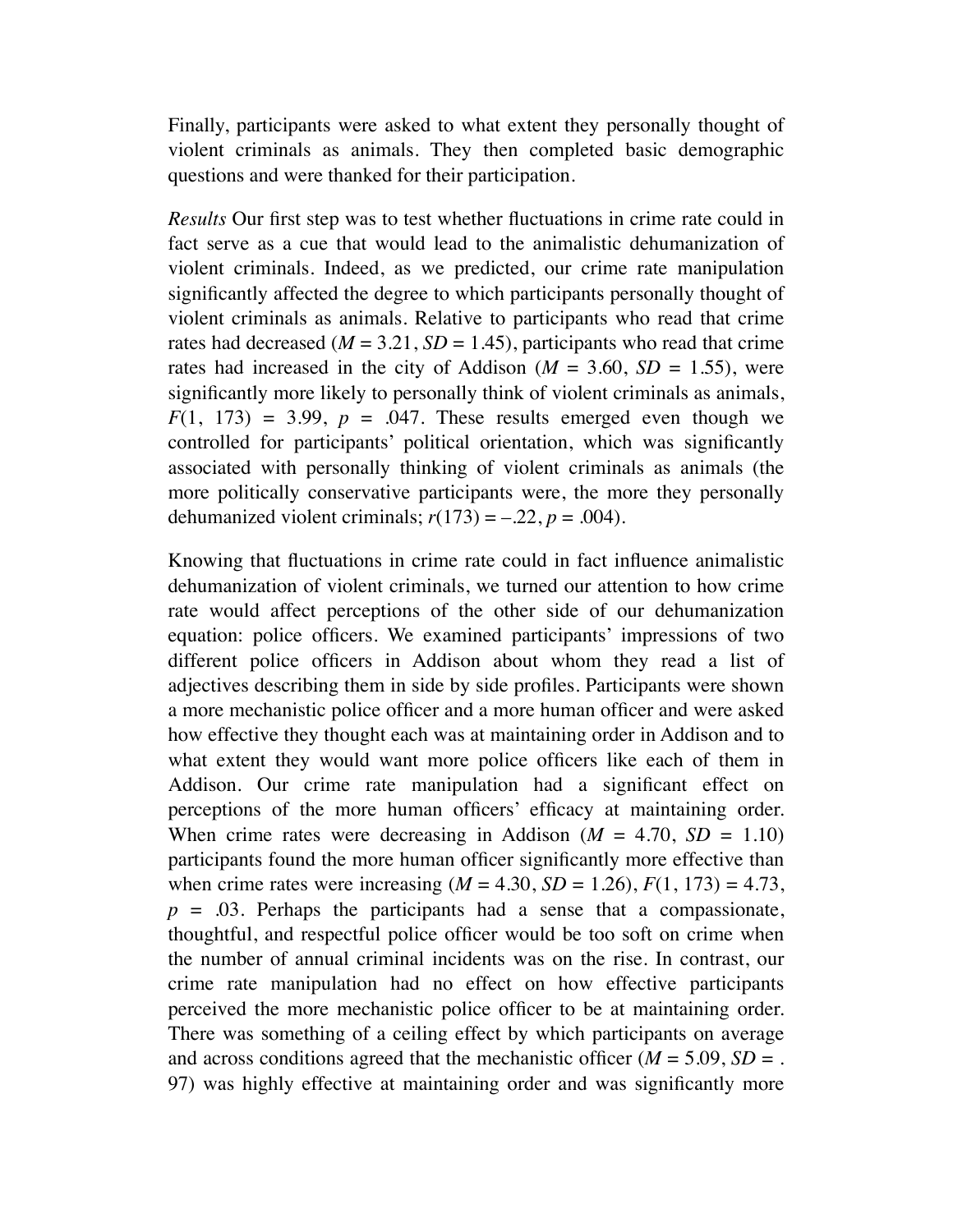Finally, participants were asked to what extent they personally thought of violent criminals as animals. They then completed basic demographic questions and were thanked for their participation.

*Results* Our first step was to test whether fluctuations in crime rate could in fact serve as a cue that would lead to the animalistic dehumanization of violent criminals. Indeed, as we predicted, our crime rate manipulation significantly affected the degree to which participants personally thought of violent criminals as animals. Relative to participants who read that crime rates had decreased ( $M = 3.21$ ,  $SD = 1.45$ ), participants who read that crime rates had increased in the city of Addison ( $M = 3.60$ ,  $SD = 1.55$ ), were significantly more likely to personally think of violent criminals as animals,  $F(1, 173) = 3.99$ ,  $p = .047$ . These results emerged even though we controlled for participants' political orientation, which was significantly associated with personally thinking of violent criminals as animals (the more politically conservative participants were, the more they personally dehumanized violent criminals;  $r(173) = -.22$ ,  $p = .004$ ).

Knowing that fluctuations in crime rate could in fact influence animalistic dehumanization of violent criminals, we turned our attention to how crime rate would affect perceptions of the other side of our dehumanization equation: police officers. We examined participants' impressions of two different police officers in Addison about whom they read a list of adjectives describing them in side by side profiles. Participants were shown a more mechanistic police officer and a more human officer and were asked how effective they thought each was at maintaining order in Addison and to what extent they would want more police officers like each of them in Addison. Our crime rate manipulation had a significant effect on perceptions of the more human officers' efficacy at maintaining order. When crime rates were decreasing in Addison ( $M = 4.70$ ,  $SD = 1.10$ ) participants found the more human officer significantly more effective than when crime rates were increasing  $(M = 4.30, SD = 1.26), F(1, 173) = 4.73$ ,  $p = .03$ . Perhaps the participants had a sense that a compassionate, thoughtful, and respectful police officer would be too soft on crime when the number of annual criminal incidents was on the rise. In contrast, our crime rate manipulation had no effect on how effective participants perceived the more mechanistic police officer to be at maintaining order. There was something of a ceiling effect by which participants on average and across conditions agreed that the mechanistic officer  $(M = 5.09, SD =$ . 97) was highly effective at maintaining order and was significantly more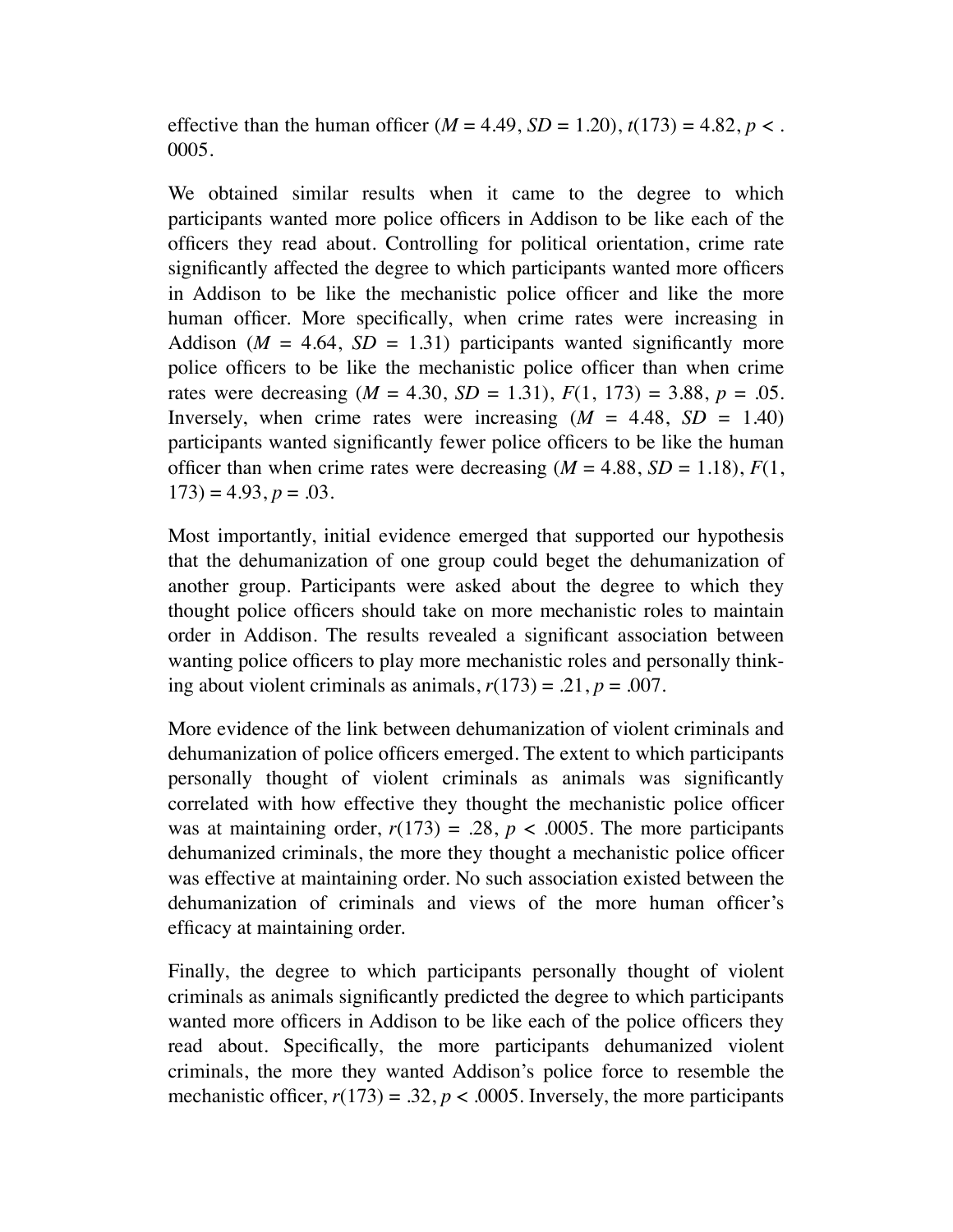effective than the human officer  $(M = 4.49, SD = 1.20), t(173) = 4.82, p < .$ 0005.

We obtained similar results when it came to the degree to which participants wanted more police officers in Addison to be like each of the officers they read about. Controlling for political orientation, crime rate significantly affected the degree to which participants wanted more officers in Addison to be like the mechanistic police officer and like the more human officer. More specifically, when crime rates were increasing in Addison ( $M = 4.64$ ,  $SD = 1.31$ ) participants wanted significantly more police officers to be like the mechanistic police officer than when crime rates were decreasing  $(M = 4.30, SD = 1.31), F(1, 173) = 3.88, p = .05.$ Inversely, when crime rates were increasing  $(M = 4.48, SD = 1.40)$ participants wanted significantly fewer police officers to be like the human officer than when crime rates were decreasing  $(M = 4.88, SD = 1.18), F(1,$  $173$ ) = 4.93,  $p = .03$ .

Most importantly, initial evidence emerged that supported our hypothesis that the dehumanization of one group could beget the dehumanization of another group. Participants were asked about the degree to which they thought police officers should take on more mechanistic roles to maintain order in Addison. The results revealed a significant association between wanting police officers to play more mechanistic roles and personally thinking about violent criminals as animals,  $r(173) = .21$ ,  $p = .007$ .

More evidence of the link between dehumanization of violent criminals and dehumanization of police officers emerged. The extent to which participants personally thought of violent criminals as animals was significantly correlated with how effective they thought the mechanistic police officer was at maintaining order,  $r(173) = .28$ ,  $p < .0005$ . The more participants dehumanized criminals, the more they thought a mechanistic police officer was effective at maintaining order. No such association existed between the dehumanization of criminals and views of the more human officer's efficacy at maintaining order.

Finally, the degree to which participants personally thought of violent criminals as animals significantly predicted the degree to which participants wanted more officers in Addison to be like each of the police officers they read about. Specifically, the more participants dehumanized violent criminals, the more they wanted Addison's police force to resemble the mechanistic officer,  $r(173) = .32$ ,  $p < .0005$ . Inversely, the more participants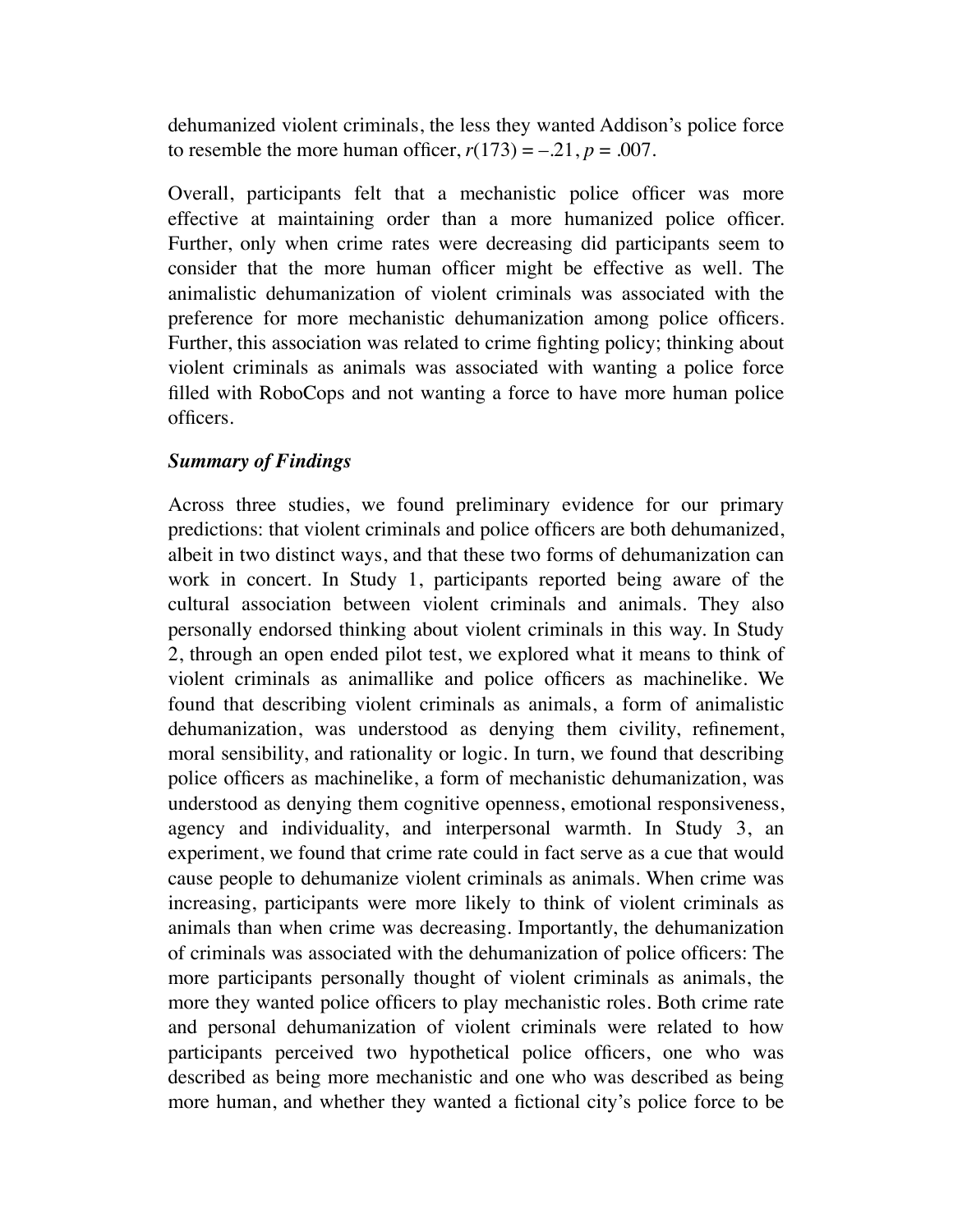dehumanized violent criminals, the less they wanted Addison's police force to resemble the more human officer,  $r(173) = -0.21$ ,  $p = 0.007$ .

Overall, participants felt that a mechanistic police officer was more effective at maintaining order than a more humanized police officer. Further, only when crime rates were decreasing did participants seem to consider that the more human officer might be effective as well. The animalistic dehumanization of violent criminals was associated with the preference for more mechanistic dehumanization among police officers. Further, this association was related to crime fighting policy; thinking about violent criminals as animals was associated with wanting a police force filled with RoboCops and not wanting a force to have more human police officers.

#### *Summary of Findings*

Across three studies, we found preliminary evidence for our primary predictions: that violent criminals and police officers are both dehumanized, albeit in two distinct ways, and that these two forms of dehumanization can work in concert. In Study 1, participants reported being aware of the cultural association between violent criminals and animals. They also personally endorsed thinking about violent criminals in this way. In Study 2, through an open ended pilot test, we explored what it means to think of violent criminals as animallike and police officers as machinelike. We found that describing violent criminals as animals, a form of animalistic dehumanization, was understood as denying them civility, refinement, moral sensibility, and rationality or logic. In turn, we found that describing police officers as machinelike, a form of mechanistic dehumanization, was understood as denying them cognitive openness, emotional responsiveness, agency and individuality, and interpersonal warmth. In Study 3, an experiment, we found that crime rate could in fact serve as a cue that would cause people to dehumanize violent criminals as animals. When crime was increasing, participants were more likely to think of violent criminals as animals than when crime was decreasing. Importantly, the dehumanization of criminals was associated with the dehumanization of police officers: The more participants personally thought of violent criminals as animals, the more they wanted police officers to play mechanistic roles. Both crime rate and personal dehumanization of violent criminals were related to how participants perceived two hypothetical police officers, one who was described as being more mechanistic and one who was described as being more human, and whether they wanted a fictional city's police force to be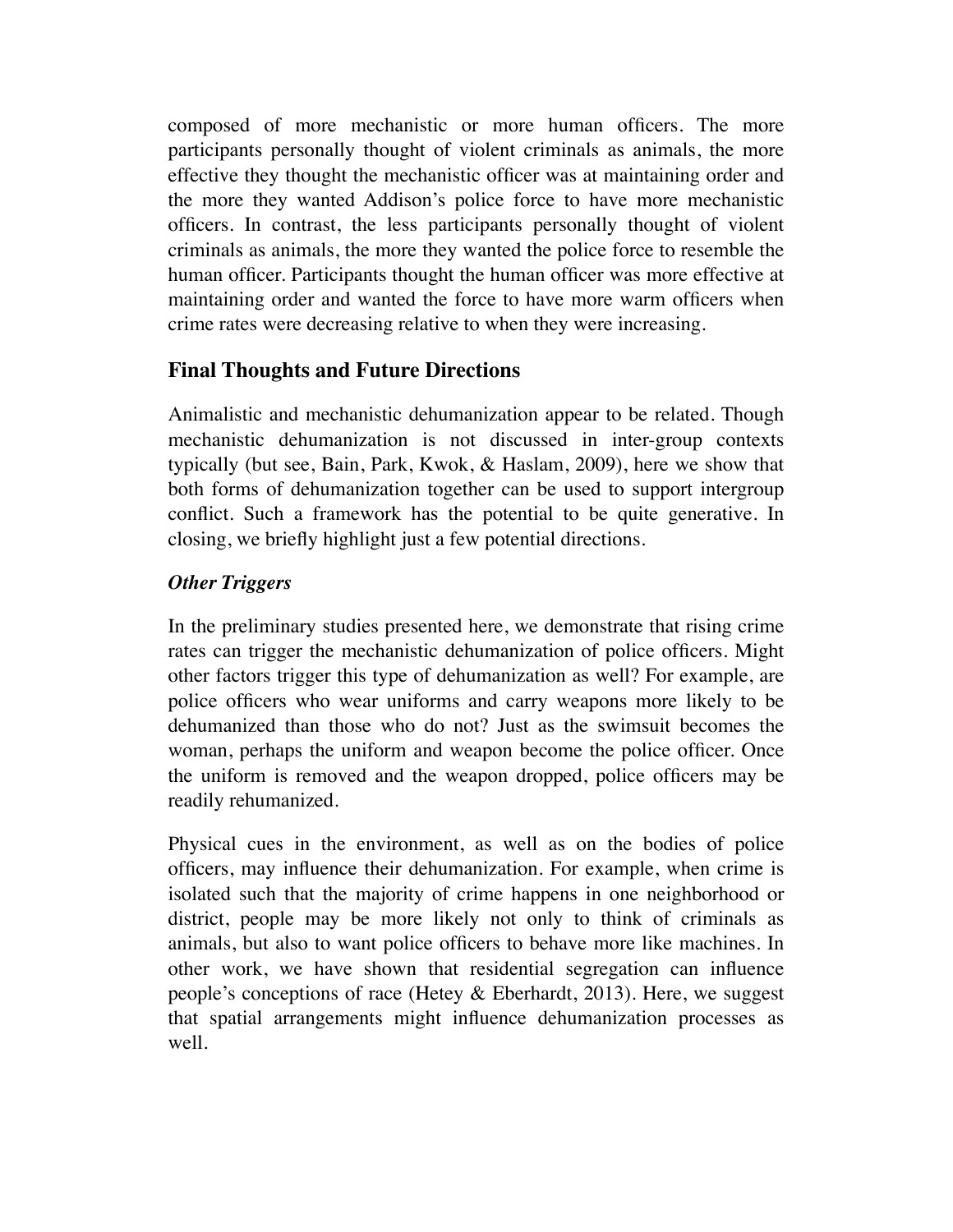composed of more mechanistic or more human officers. The more participants personally thought of violent criminals as animals, the more effective they thought the mechanistic officer was at maintaining order and the more they wanted Addison's police force to have more mechanistic officers. In contrast, the less participants personally thought of violent criminals as animals, the more they wanted the police force to resemble the human officer. Participants thought the human officer was more effective at maintaining order and wanted the force to have more warm officers when crime rates were decreasing relative to when they were increasing.

# **Final Thoughts and Future Directions**

Animalistic and mechanistic dehumanization appear to be related. Though mechanistic dehumanization is not discussed in inter-group contexts typically (but see, Bain, Park, Kwok, & Haslam, 2009), here we show that both forms of dehumanization together can be used to support intergroup conflict. Such a framework has the potential to be quite generative. In closing, we briefly highlight just a few potential directions.

## *Other Triggers*

In the preliminary studies presented here, we demonstrate that rising crime rates can trigger the mechanistic dehumanization of police officers. Might other factors trigger this type of dehumanization as well? For example, are police officers who wear uniforms and carry weapons more likely to be dehumanized than those who do not? Just as the swimsuit becomes the woman, perhaps the uniform and weapon become the police officer. Once the uniform is removed and the weapon dropped, police officers may be readily rehumanized.

Physical cues in the environment, as well as on the bodies of police officers, may influence their dehumanization. For example, when crime is isolated such that the majority of crime happens in one neighborhood or district, people may be more likely not only to think of criminals as animals, but also to want police officers to behave more like machines. In other work, we have shown that residential segregation can influence people's conceptions of race (Hetey & Eberhardt, 2013). Here, we suggest that spatial arrangements might influence dehumanization processes as well.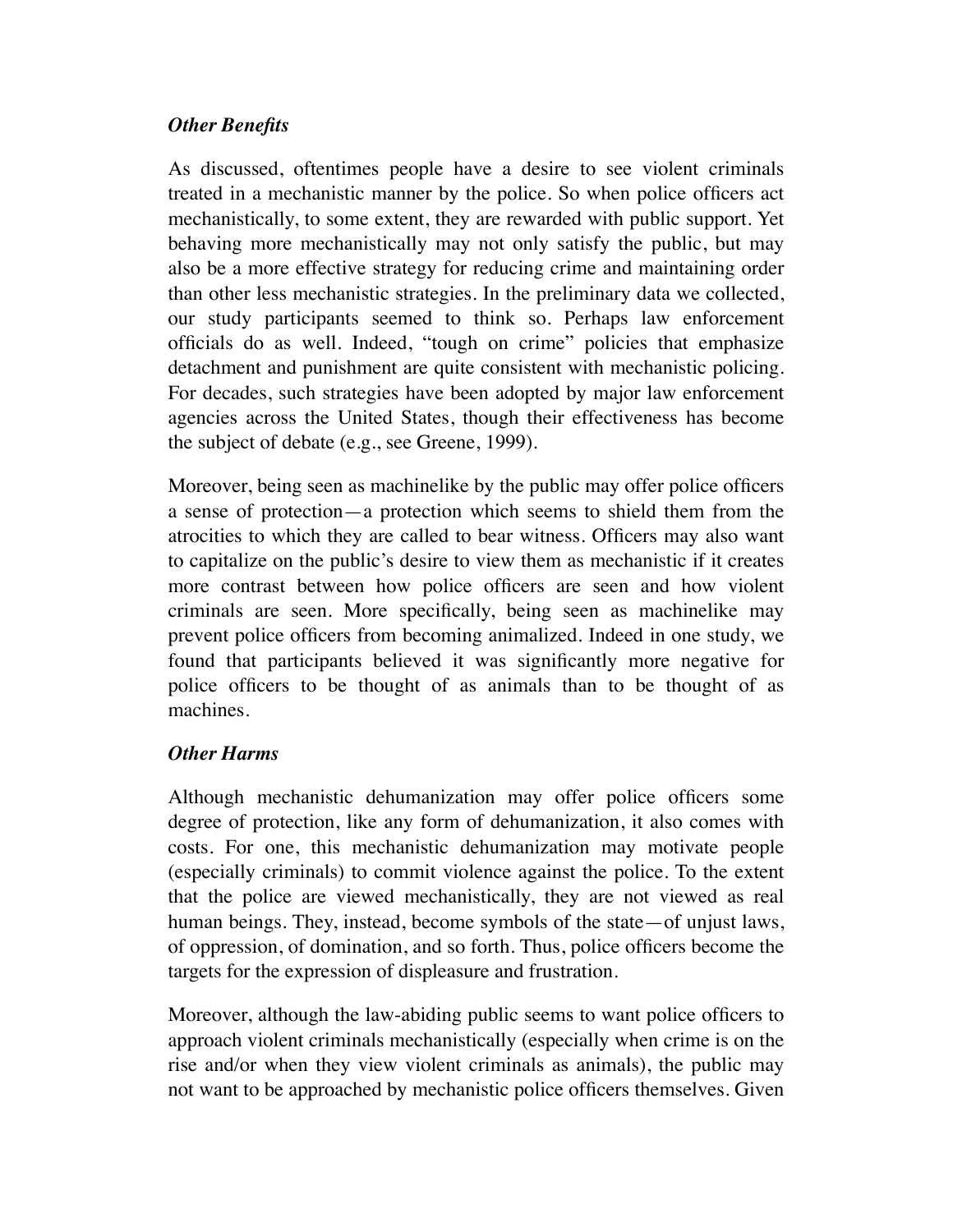#### *Other Benefits*

As discussed, oftentimes people have a desire to see violent criminals treated in a mechanistic manner by the police. So when police officers act mechanistically, to some extent, they are rewarded with public support. Yet behaving more mechanistically may not only satisfy the public, but may also be a more effective strategy for reducing crime and maintaining order than other less mechanistic strategies. In the preliminary data we collected, our study participants seemed to think so. Perhaps law enforcement officials do as well. Indeed, "tough on crime" policies that emphasize detachment and punishment are quite consistent with mechanistic policing. For decades, such strategies have been adopted by major law enforcement agencies across the United States, though their effectiveness has become the subject of debate (e.g., see Greene, 1999).

Moreover, being seen as machinelike by the public may offer police officers a sense of protection—a protection which seems to shield them from the atrocities to which they are called to bear witness. Officers may also want to capitalize on the public's desire to view them as mechanistic if it creates more contrast between how police officers are seen and how violent criminals are seen. More specifically, being seen as machinelike may prevent police officers from becoming animalized. Indeed in one study, we found that participants believed it was significantly more negative for police officers to be thought of as animals than to be thought of as machines.

#### *Other Harms*

Although mechanistic dehumanization may offer police officers some degree of protection, like any form of dehumanization, it also comes with costs. For one, this mechanistic dehumanization may motivate people (especially criminals) to commit violence against the police. To the extent that the police are viewed mechanistically, they are not viewed as real human beings. They, instead, become symbols of the state—of unjust laws, of oppression, of domination, and so forth. Thus, police officers become the targets for the expression of displeasure and frustration.

Moreover, although the law-abiding public seems to want police officers to approach violent criminals mechanistically (especially when crime is on the rise and/or when they view violent criminals as animals), the public may not want to be approached by mechanistic police officers themselves. Given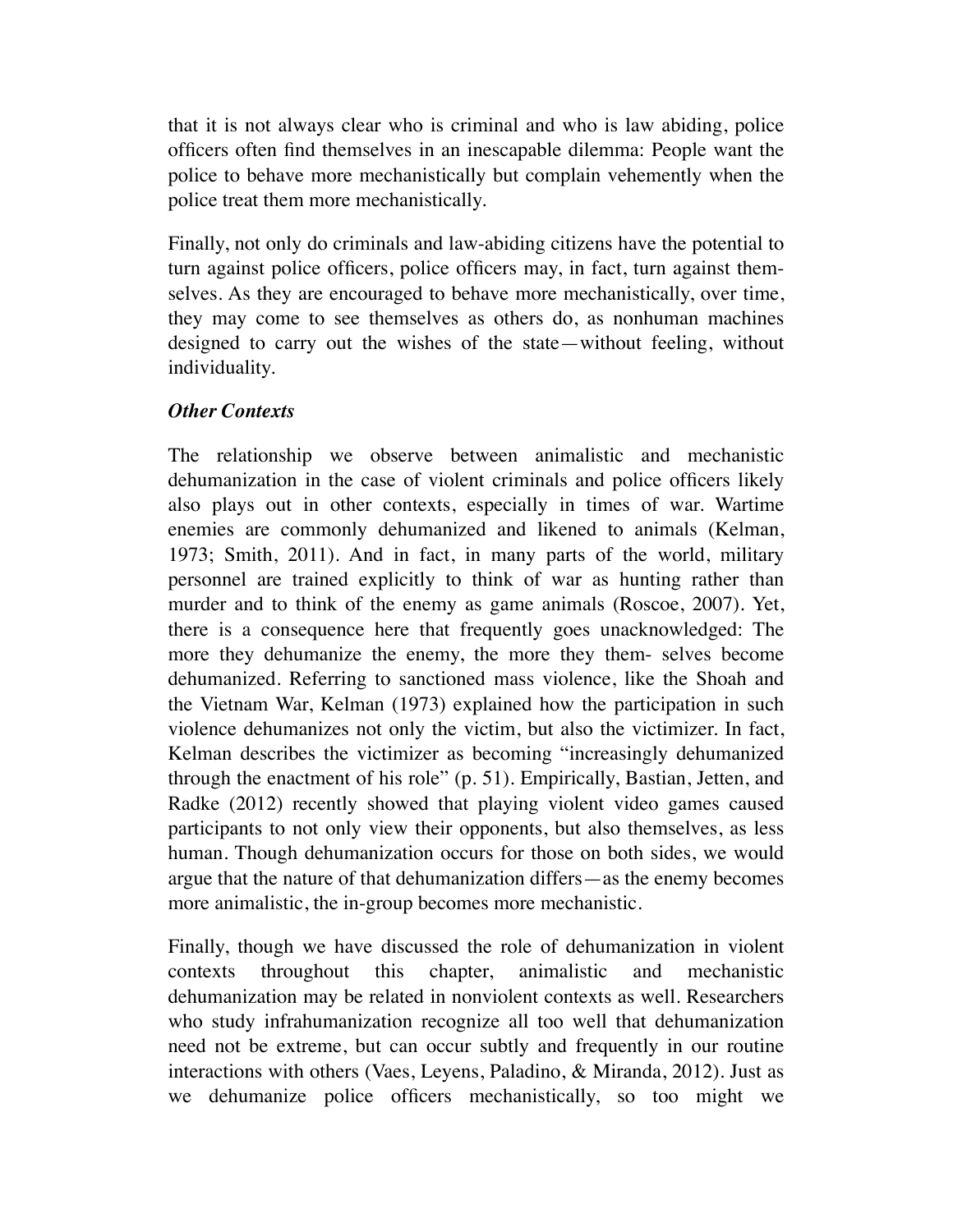that it is not always clear who is criminal and who is law abiding, police officers often find themselves in an inescapable dilemma: People want the police to behave more mechanistically but complain vehemently when the police treat them more mechanistically.

Finally, not only do criminals and law-abiding citizens have the potential to turn against police officers, police officers may, in fact, turn against themselves. As they are encouraged to behave more mechanistically, over time, they may come to see themselves as others do, as nonhuman machines designed to carry out the wishes of the state—without feeling, without individuality.

#### *Other Contexts*

The relationship we observe between animalistic and mechanistic dehumanization in the case of violent criminals and police officers likely also plays out in other contexts, especially in times of war. Wartime enemies are commonly dehumanized and likened to animals (Kelman, 1973; Smith, 2011). And in fact, in many parts of the world, military personnel are trained explicitly to think of war as hunting rather than murder and to think of the enemy as game animals (Roscoe, 2007). Yet, there is a consequence here that frequently goes unacknowledged: The more they dehumanize the enemy, the more they them- selves become dehumanized. Referring to sanctioned mass violence, like the Shoah and the Vietnam War, Kelman (1973) explained how the participation in such violence dehumanizes not only the victim, but also the victimizer. In fact, Kelman describes the victimizer as becoming "increasingly dehumanized through the enactment of his role" (p. 51). Empirically, Bastian, Jetten, and Radke (2012) recently showed that playing violent video games caused participants to not only view their opponents, but also themselves, as less human. Though dehumanization occurs for those on both sides, we would argue that the nature of that dehumanization differs—as the enemy becomes more animalistic, the in-group becomes more mechanistic.

Finally, though we have discussed the role of dehumanization in violent contexts throughout this chapter, animalistic and mechanistic dehumanization may be related in nonviolent contexts as well. Researchers who study infrahumanization recognize all too well that dehumanization need not be extreme, but can occur subtly and frequently in our routine interactions with others (Vaes, Leyens, Paladino, & Miranda, 2012). Just as we dehumanize police officers mechanistically, so too might we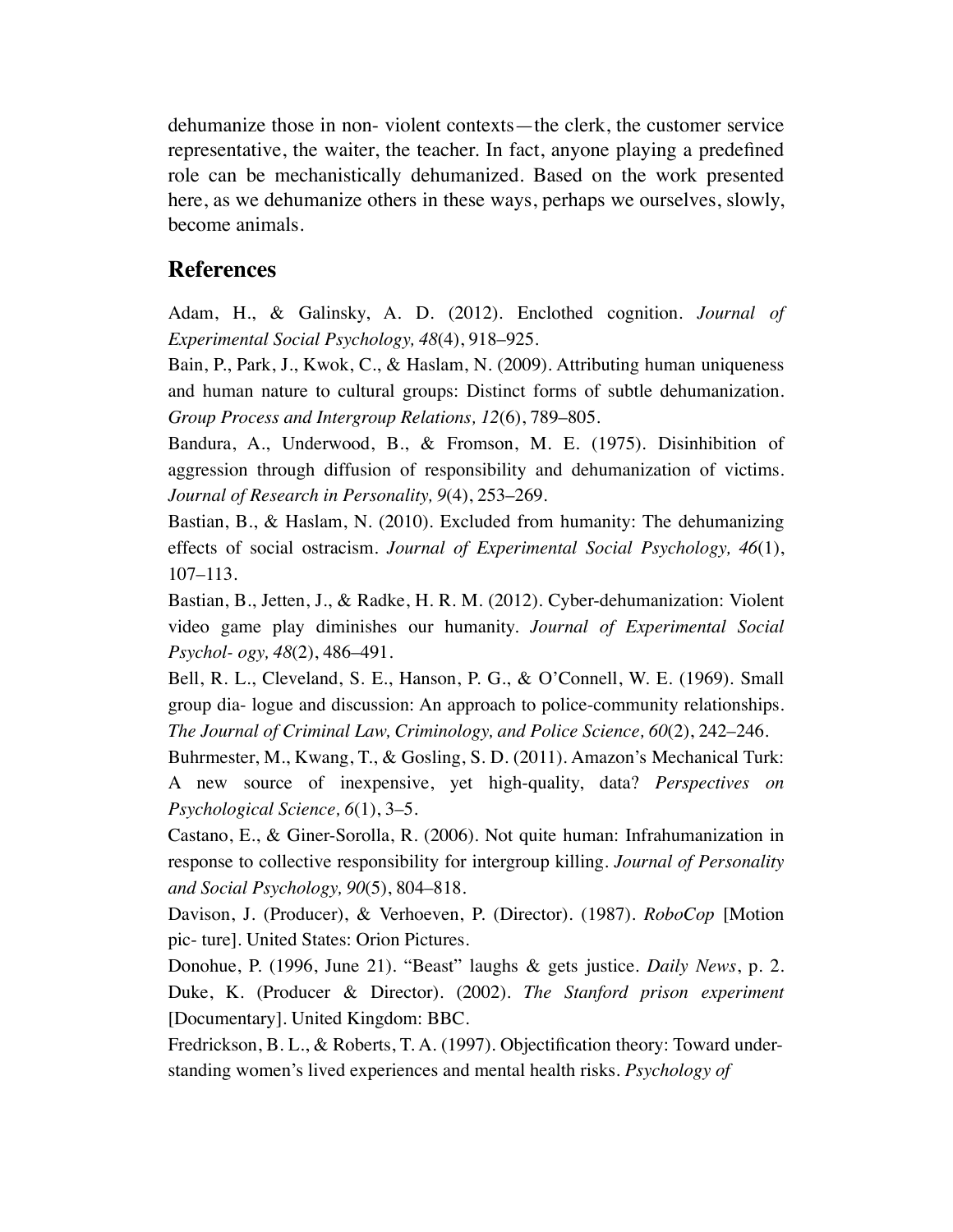dehumanize those in non- violent contexts—the clerk, the customer service representative, the waiter, the teacher. In fact, anyone playing a predefined role can be mechanistically dehumanized. Based on the work presented here, as we dehumanize others in these ways, perhaps we ourselves, slowly, become animals.

#### **References**

Adam, H., & Galinsky, A. D. (2012). Enclothed cognition. *Journal of Experimental Social Psychology, 48*(4), 918–925.

Bain, P., Park, J., Kwok, C., & Haslam, N. (2009). Attributing human uniqueness and human nature to cultural groups: Distinct forms of subtle dehumanization. *Group Process and Intergroup Relations, 12*(6), 789–805.

Bandura, A., Underwood, B., & Fromson, M. E. (1975). Disinhibition of aggression through diffusion of responsibility and dehumanization of victims. *Journal of Research in Personality, 9*(4), 253–269.

Bastian, B., & Haslam, N. (2010). Excluded from humanity: The dehumanizing effects of social ostracism. *Journal of Experimental Social Psychology, 46*(1), 107–113.

Bastian, B., Jetten, J., & Radke, H. R. M. (2012). Cyber-dehumanization: Violent video game play diminishes our humanity. *Journal of Experimental Social Psychol- ogy, 48*(2), 486–491.

Bell, R. L., Cleveland, S. E., Hanson, P. G., & O'Connell, W. E. (1969). Small group dia- logue and discussion: An approach to police-community relationships. *The Journal of Criminal Law, Criminology, and Police Science, 60*(2), 242–246.

Buhrmester, M., Kwang, T., & Gosling, S. D. (2011). Amazon's Mechanical Turk: A new source of inexpensive, yet high-quality, data? *Perspectives on Psychological Science, 6*(1), 3–5.

Castano, E., & Giner-Sorolla, R. (2006). Not quite human: Infrahumanization in response to collective responsibility for intergroup killing. *Journal of Personality and Social Psychology, 90*(5), 804–818.

Davison, J. (Producer), & Verhoeven, P. (Director). (1987). *RoboCop* [Motion pic- ture]. United States: Orion Pictures.

Donohue, P. (1996, June 21). "Beast" laughs & gets justice. *Daily News*, p. 2. Duke, K. (Producer & Director). (2002). *The Stanford prison experiment*  [Documentary]. United Kingdom: BBC.

Fredrickson, B. L., & Roberts, T. A. (1997). Objectification theory: Toward understanding women's lived experiences and mental health risks. *Psychology of*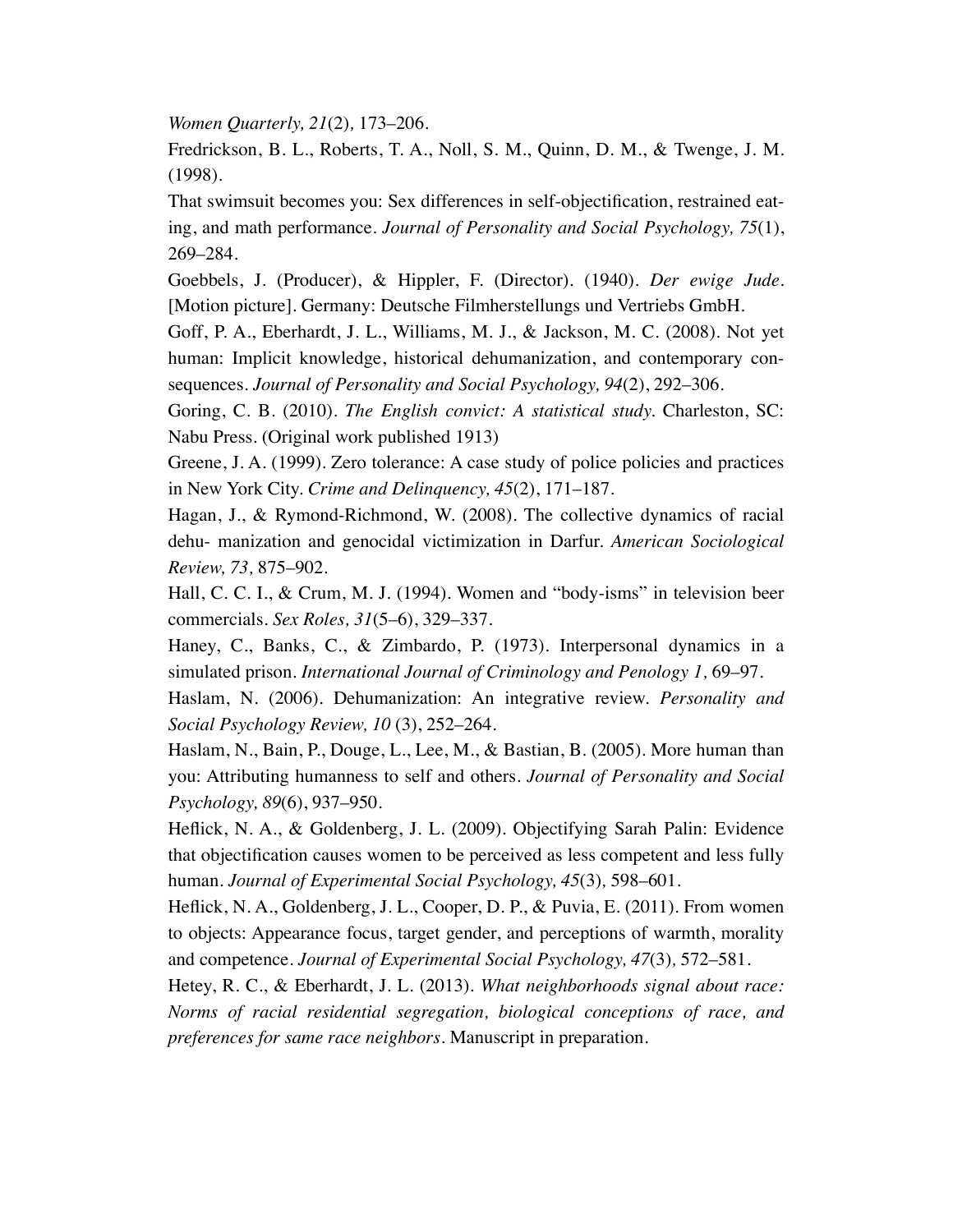*Women Quarterly, 21*(2)*,* 173–206.

Fredrickson, B. L., Roberts, T. A., Noll, S. M., Quinn, D. M., & Twenge, J. M. (1998).

That swimsuit becomes you: Sex differences in self-objectification, restrained eating, and math performance. *Journal of Personality and Social Psychology, 75*(1), 269–284.

Goebbels, J. (Producer), & Hippler, F. (Director). (1940). *Der ewige Jude.*  [Motion picture]. Germany: Deutsche Filmherstellungs und Vertriebs GmbH.

Goff, P. A., Eberhardt, J. L., Williams, M. J., & Jackson, M. C. (2008). Not yet human: Implicit knowledge, historical dehumanization, and contemporary consequences. *Journal of Personality and Social Psychology, 94*(2), 292–306.

Goring, C. B. (2010). *The English convict: A statistical study.* Charleston, SC: Nabu Press. (Original work published 1913)

Greene, J. A. (1999). Zero tolerance: A case study of police policies and practices in New York City. *Crime and Delinquency, 45*(2), 171–187.

Hagan, J., & Rymond-Richmond, W. (2008). The collective dynamics of racial dehu- manization and genocidal victimization in Darfur. *American Sociological Review, 73,* 875–902.

Hall, C. C. I., & Crum, M. J. (1994). Women and "body-isms" in television beer commercials. *Sex Roles, 31*(5–6), 329–337.

Haney, C., Banks, C., & Zimbardo, P. (1973). Interpersonal dynamics in a simulated prison. *International Journal of Criminology and Penology 1,* 69–97.

Haslam, N. (2006). Dehumanization: An integrative review. *Personality and Social Psychology Review, 10* (3), 252–264.

Haslam, N., Bain, P., Douge, L., Lee, M., & Bastian, B. (2005). More human than you: Attributing humanness to self and others. *Journal of Personality and Social Psychology, 89*(6), 937–950.

Heflick, N. A., & Goldenberg, J. L. (2009). Objectifying Sarah Palin: Evidence that objectification causes women to be perceived as less competent and less fully human. *Journal of Experimental Social Psychology, 45*(3)*,* 598–601.

Heflick, N. A., Goldenberg, J. L., Cooper, D. P., & Puvia, E. (2011). From women to objects: Appearance focus, target gender, and perceptions of warmth, morality and competence. *Journal of Experimental Social Psychology, 47*(3)*,* 572–581.

Hetey, R. C., & Eberhardt, J. L. (2013). *What neighborhoods signal about race: Norms of racial residential segregation, biological conceptions of race, and preferences for same race neighbors.* Manuscript in preparation.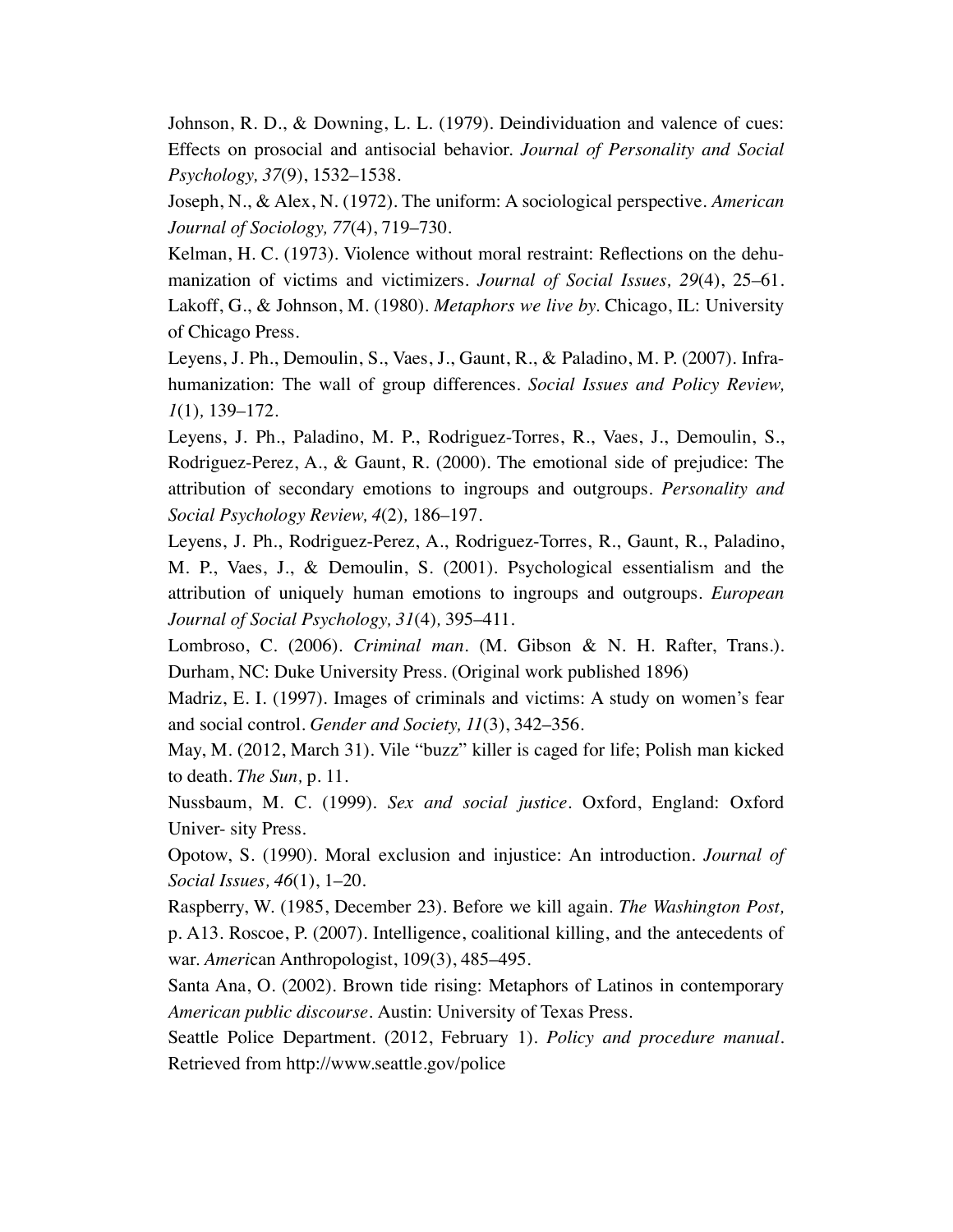Johnson, R. D., & Downing, L. L. (1979). Deindividuation and valence of cues: Effects on prosocial and antisocial behavior. *Journal of Personality and Social Psychology, 37*(9), 1532–1538.

Joseph, N., & Alex, N. (1972). The uniform: A sociological perspective. *American Journal of Sociology, 77*(4), 719–730.

Kelman, H. C. (1973). Violence without moral restraint: Reflections on the dehumanization of victims and victimizers. *Journal of Social Issues, 29*(4), 25–61. Lakoff, G., & Johnson, M. (1980). *Metaphors we live by.* Chicago, IL: University of Chicago Press.

Leyens, J. Ph., Demoulin, S., Vaes, J., Gaunt, R., & Paladino, M. P. (2007). Infrahumanization: The wall of group differences. *Social Issues and Policy Review, 1*(1)*,* 139–172.

Leyens, J. Ph., Paladino, M. P., Rodriguez-Torres, R., Vaes, J., Demoulin, S., Rodriguez-Perez, A., & Gaunt, R. (2000). The emotional side of prejudice: The attribution of secondary emotions to ingroups and outgroups. *Personality and Social Psychology Review, 4*(2)*,* 186–197.

Leyens, J. Ph., Rodriguez-Perez, A., Rodriguez-Torres, R., Gaunt, R., Paladino, M. P., Vaes, J., & Demoulin, S. (2001). Psychological essentialism and the attribution of uniquely human emotions to ingroups and outgroups. *European Journal of Social Psychology, 31*(4)*,* 395–411.

Lombroso, C. (2006). *Criminal man.* (M. Gibson & N. H. Rafter, Trans.). Durham, NC: Duke University Press. (Original work published 1896)

Madriz, E. I. (1997). Images of criminals and victims: A study on women's fear and social control. *Gender and Society, 11*(3), 342–356.

May, M. (2012, March 31). Vile "buzz" killer is caged for life; Polish man kicked to death. *The Sun,* p. 11.

Nussbaum, M. C. (1999). *Sex and social justice.* Oxford, England: Oxford Univer- sity Press.

Opotow, S. (1990). Moral exclusion and injustice: An introduction. *Journal of Social Issues, 46*(1), 1–20.

Raspberry, W. (1985, December 23). Before we kill again. *The Washington Post,*  p. A13. Roscoe, P. (2007). Intelligence, coalitional killing, and the antecedents of war. *Ameri*can Anthropologist, 109(3), 485–495.

Santa Ana, O. (2002). Brown tide rising: Metaphors of Latinos in contemporary *American public discourse.* Austin: University of Texas Press.

Seattle Police Department. (2012, February 1). *Policy and procedure manual.*  Retrieved from http://www.seattle.gov/police